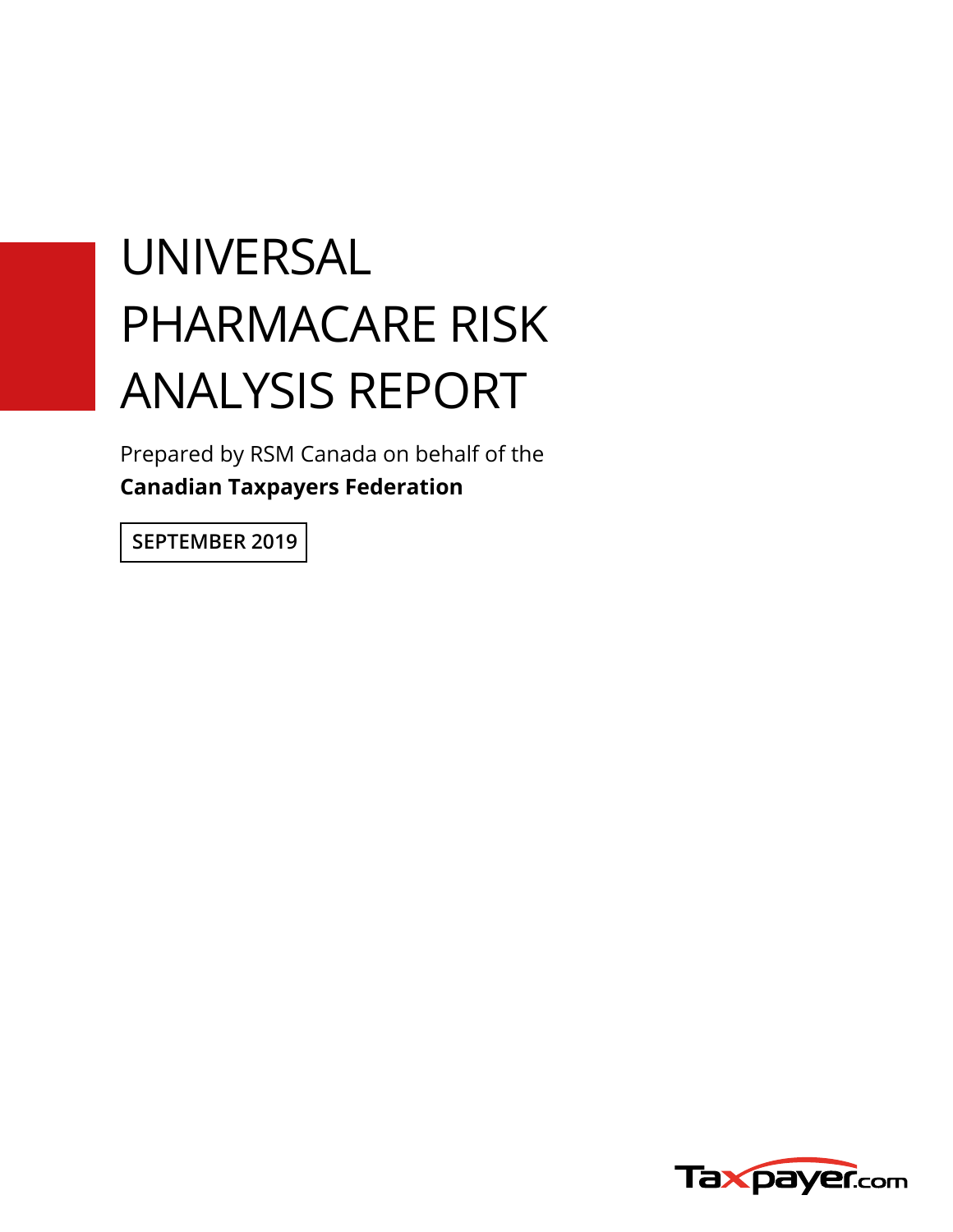# UNIVERSAL PHARMACARE RISK ANALYSIS REPORT

Prepared by RSM Canada on behalf of the **Canadian Taxpayers Federation**

**SEPTEMBER 2019**

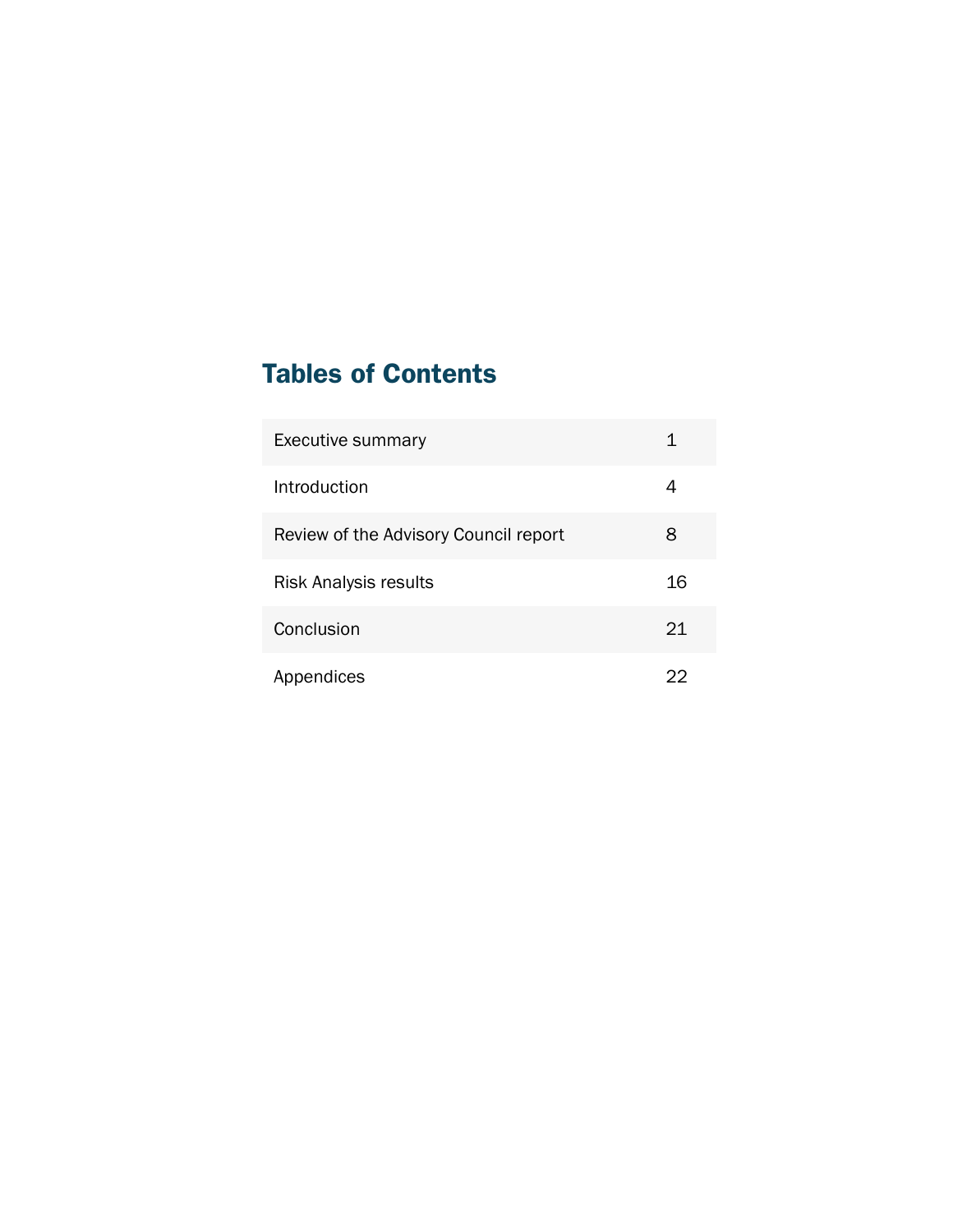# Tables of Contents

| <b>Executive summary</b>              |    |
|---------------------------------------|----|
| Introduction                          | 4  |
| Review of the Advisory Council report | 8  |
| <b>Risk Analysis results</b>          | 16 |
| Conclusion                            | 21 |
| Appendices                            | ソソ |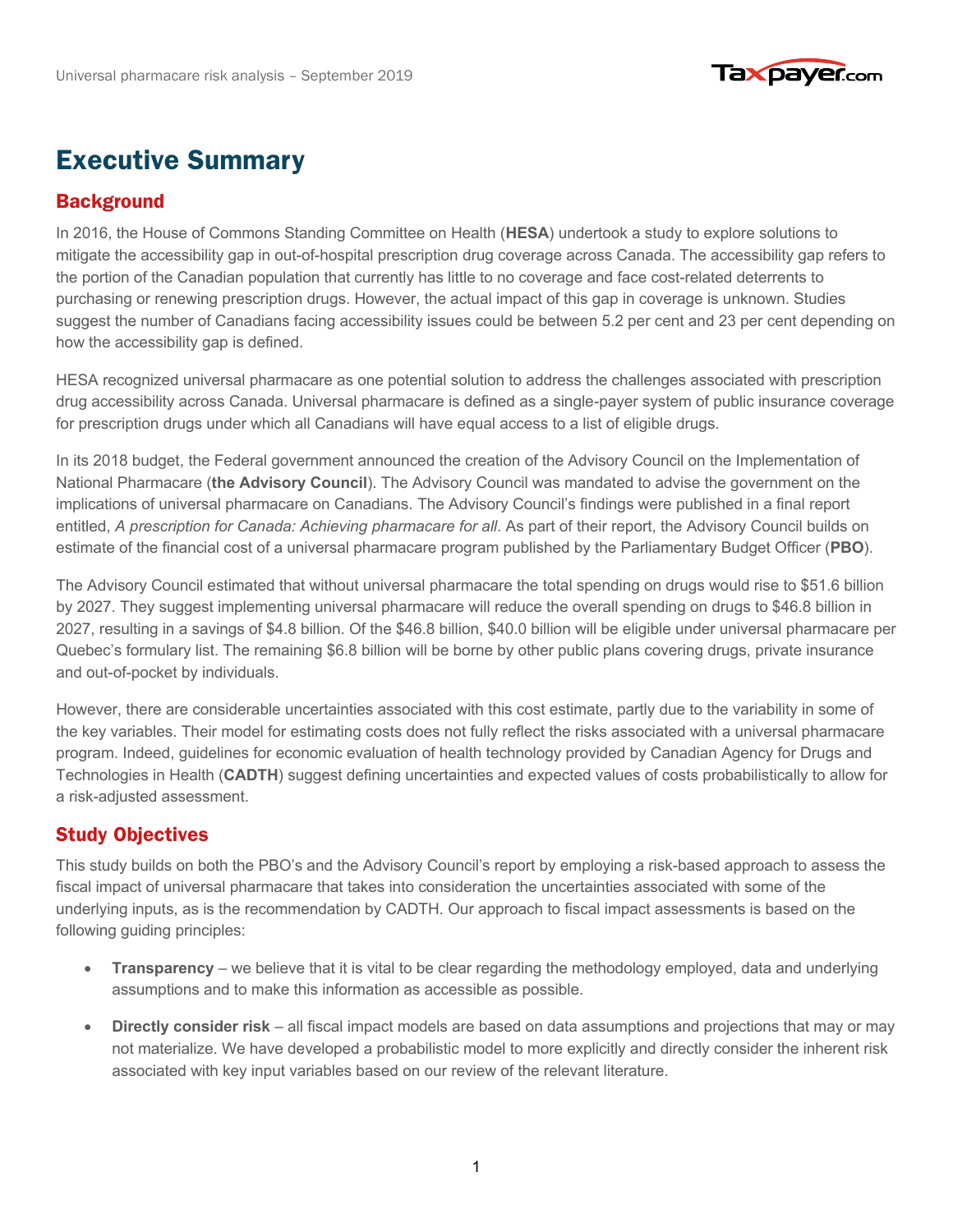

# **Executive Summary**

## Background Background

In 2016, the House of Commons Standing Committee on Health (**HESA**) undertook a study to explore solutions to mitigate the accessibility gap in out-of-hospital prescription drug coverage across Canada. The accessibility gap refers to the portion of the Canadian population that currently has little to no coverage and face cost-related deterrents to purchasing or renewing prescription drugs. However, the actual impact of this gap in coverage is unknown. Studies suggest the number of Canadians facing accessibility issues could be between 5.2 per cent and 23 per cent depending on how the accessibility gap is defined.

HESA recognized universal pharmacare as one potential solution to address the challenges associated with prescription drug accessibility across Canada. Universal pharmacare is defined as a single-payer system of public insurance coverage for prescription drugs under which all Canadians will have equal access to a list of eligible drugs.

In its 2018 budget, the Federal government announced the creation of the Advisory Council on the Implementation of National Pharmacare (**the Advisory Council**). The Advisory Council was mandated to advise the government on the implications of universal pharmacare on Canadians. The Advisory Council's findings were published in a final report entitled, *A prescription for Canada: Achieving pharmacare for all*. As part of their report, the Advisory Council builds on estimate of the financial cost of a universal pharmacare program published by the Parliamentary Budget Officer (**PBO**).

The Advisory Council estimated that without universal pharmacare the total spending on drugs would rise to \$51.6 billion by 2027. They suggest implementing universal pharmacare will reduce the overall spending on drugs to \$46.8 billion in 2027, resulting in a savings of \$4.8 billion. Of the \$46.8 billion, \$40.0 billion will be eligible under universal pharmacare per Quebec's formulary list. The remaining \$6.8 billion will be borne by other public plans covering drugs, private insurance and out-of-pocket by individuals.

However, there are considerable uncertainties associated with this cost estimate, partly due to the variability in some of the key variables. Their model for estimating costs does not fully reflect the risks associated with a universal pharmacare program. Indeed, guidelines for economic evaluation of health technology provided by Canadian Agency for Drugs and Technologies in Health (**CADTH**) suggest defining uncertainties and expected values of costs probabilistically to allow for a risk-adjusted assessment.

## Study objectives Study Objectives

This study builds on both the PBO's and the Advisory Council's report by employing a risk-based approach to assess the fiscal impact of universal pharmacare that takes into consideration the uncertainties associated with some of the underlying inputs, as is the recommendation by CADTH. Our approach to fiscal impact assessments is based on the following guiding principles:

- **Transparency** we believe that it is vital to be clear regarding the methodology employed, data and underlying assumptions and to make this information as accessible as possible.
- **Directly consider risk** all fiscal impact models are based on data assumptions and projections that may or may not materialize. We have developed a probabilistic model to more explicitly and directly consider the inherent risk associated with key input variables based on our review of the relevant literature.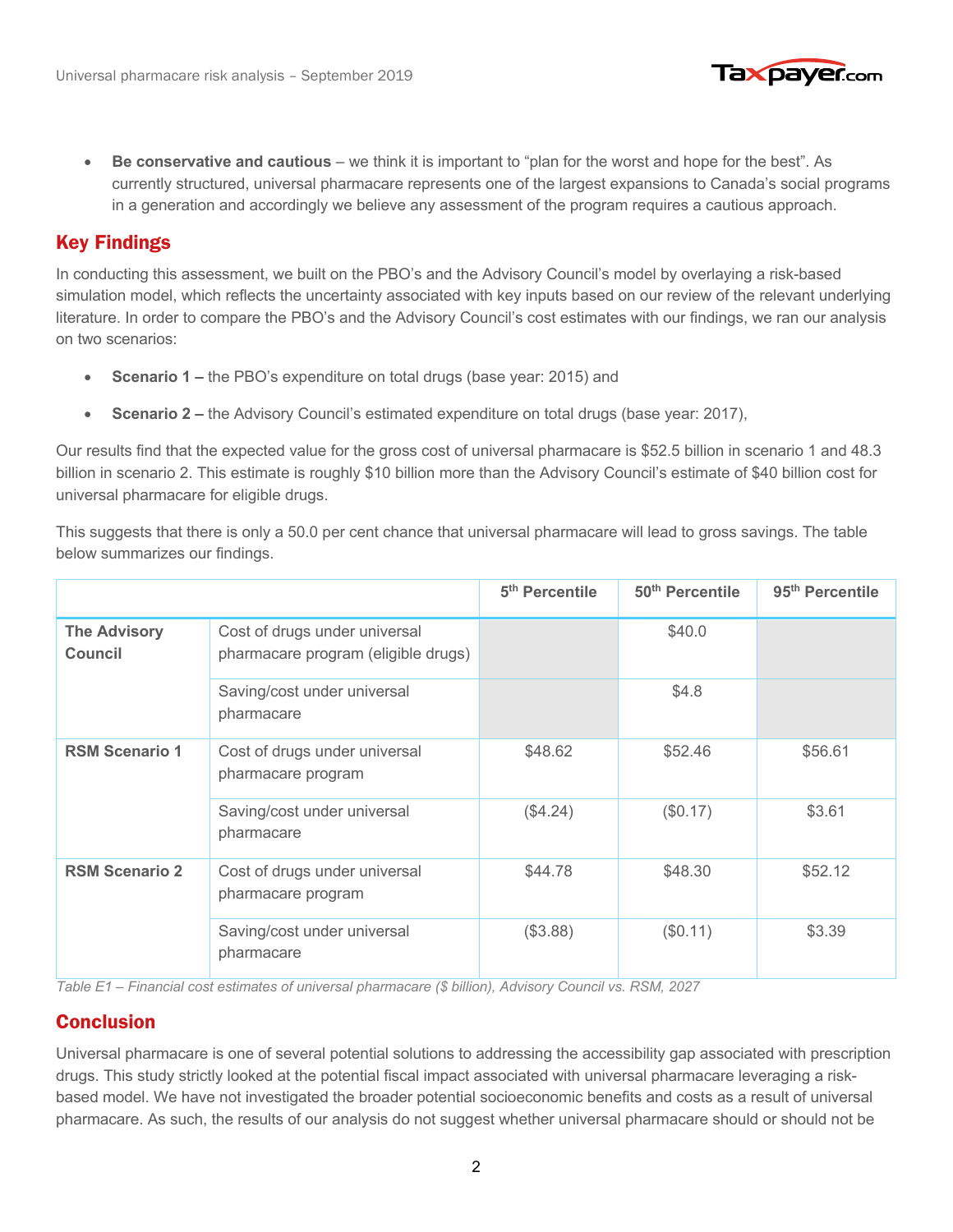

• **Be conservative and cautious** – we think it is important to "plan for the worst and hope for the best". As currently structured, universal pharmacare represents one of the largest expansions to Canada's social programs in a generation and accordingly we believe any assessment of the program requires a cautious approach.

#### Key findings Key Findings

In conducting this assessment, we built on the PBO's and the Advisory Council's model by overlaying a risk-based simulation model, which reflects the uncertainty associated with key inputs based on our review of the relevant underlying literature. In order to compare the PBO's and the Advisory Council's cost estimates with our findings, we ran our analysis on two scenarios:

- **Scenario 1 –** the PBO's expenditure on total drugs (base year: 2015) and
- **Scenario 2** the Advisory Council's estimated expenditure on total drugs (base year: 2017),

Our results find that the expected value for the gross cost of universal pharmacare is \$52.5 billion in scenario 1 and 48.3 billion in scenario 2. This estimate is roughly \$10 billion more than the Advisory Council's estimate of \$40 billion cost for universal pharmacare for eligible drugs.

This suggests that there is only a 50.0 per cent chance that universal pharmacare will lead to gross savings. The table below summarizes our findings.

|                                       |                                                                      | 5 <sup>th</sup> Percentile | 50 <sup>th</sup> Percentile | 95 <sup>th</sup> Percentile |
|---------------------------------------|----------------------------------------------------------------------|----------------------------|-----------------------------|-----------------------------|
| <b>The Advisory</b><br><b>Council</b> | Cost of drugs under universal<br>pharmacare program (eligible drugs) |                            | \$40.0                      |                             |
|                                       | Saving/cost under universal<br>pharmacare                            |                            | \$4.8                       |                             |
| <b>RSM Scenario 1</b>                 | Cost of drugs under universal<br>pharmacare program                  | \$48.62                    | \$52.46                     | \$56.61                     |
|                                       | Saving/cost under universal<br>pharmacare                            | (\$4.24)                   | (\$0.17)                    | \$3.61                      |
| <b>RSM Scenario 2</b>                 | Cost of drugs under universal<br>pharmacare program                  | \$44.78                    | \$48.30                     | \$52.12                     |
|                                       | Saving/cost under universal<br>pharmacare                            | (\$3.88)                   | (\$0.11)                    | \$3.39                      |

*Table E1 – Financial cost estimates of universal pharmacare (\$ billion), Advisory Council vs. RSM, 2027*

#### Conclusion Conclusion

Universal pharmacare is one of several potential solutions to addressing the accessibility gap associated with prescription drugs. This study strictly looked at the potential fiscal impact associated with universal pharmacare leveraging a riskbased model. We have not investigated the broader potential socioeconomic benefits and costs as a result of universal pharmacare. As such, the results of our analysis do not suggest whether universal pharmacare should or should not be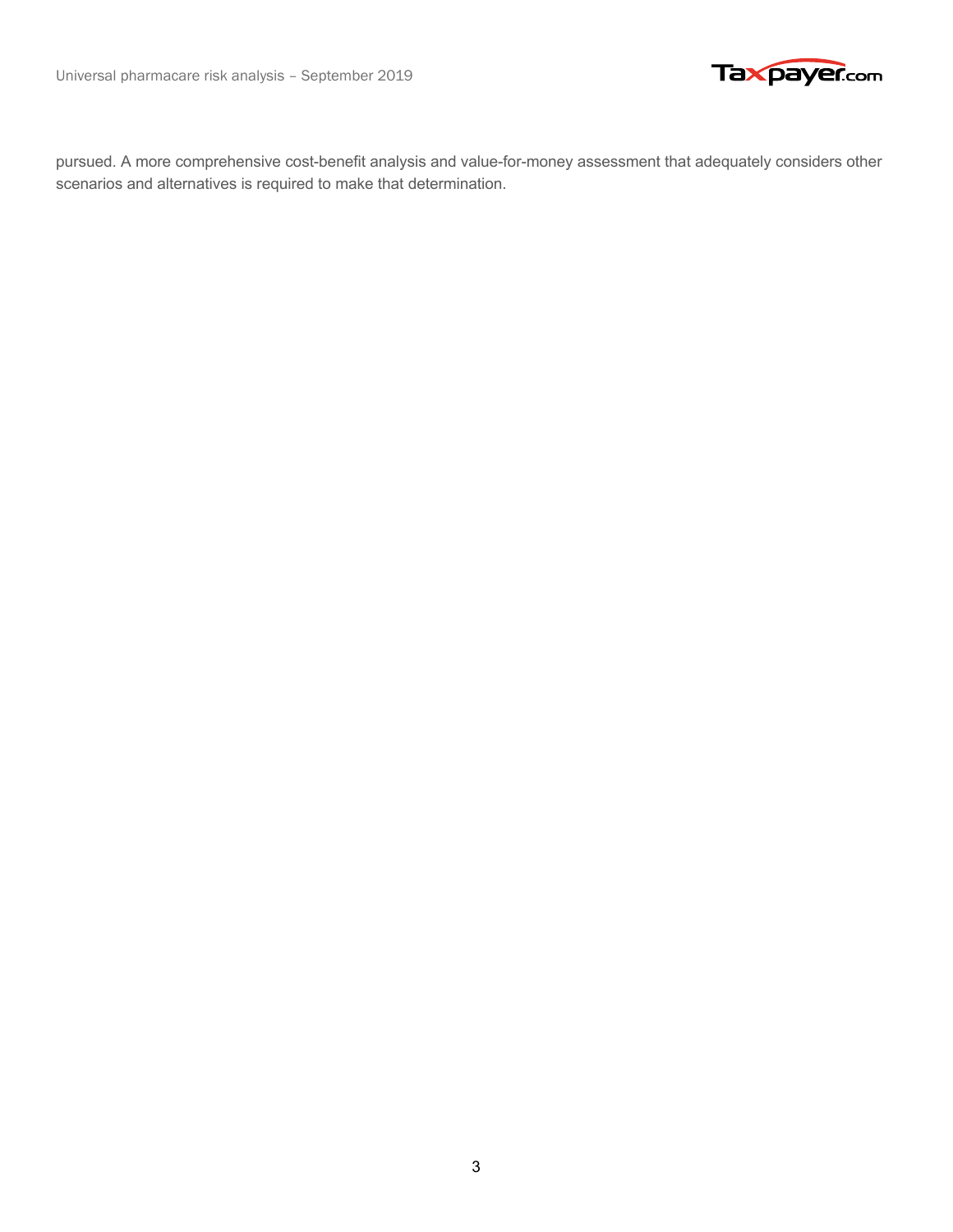



pursued. A more comprehensive cost-benefit analysis and value-for-money assessment that adequately considers other scenarios and alternatives is required to make that determination.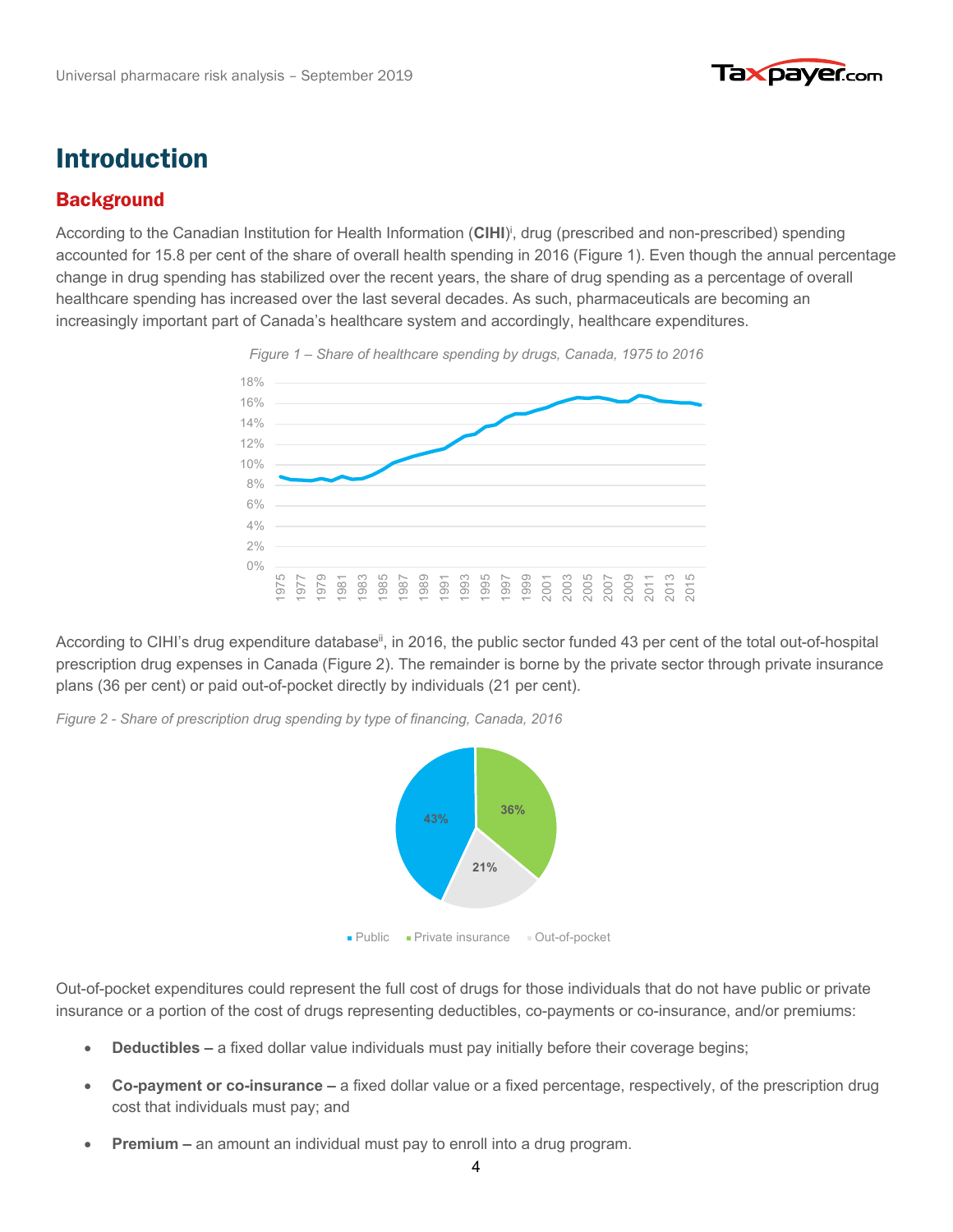

# Introduction

## Background Background

According to the Canadian Institution for Health Information (CIHI)<sup>i</sup>, drug (prescribed and non-prescribed) spending accounted for 15.8 per cent of the share of overall health spending in 2016 (Figure 1). Even though the annual percentage change in drug spending has stabilized over the recent years, the share of drug spending as a percentage of overall healthcare spending has increased over the last several decades. As such, pharmaceuticals are becoming an increasingly important part of Canada's healthcare system and accordingly, healthcare expenditures.



According to CIHI's drug expenditure database<sup>ii</sup>, in 2016, the public sector funded 43 per cent of the total out-of-hospital prescription drug expenses in Canada (Figure 2). The remainder is borne by the private sector through private insurance plans (36 per cent) or paid out-of-pocket directly by individuals (21 per cent).

*Figure 2 - Share of prescription drug spending by type of financing, Canada, 2016*



Out-of-pocket expenditures could represent the full cost of drugs for those individuals that do not have public or private insurance or a portion of the cost of drugs representing deductibles, co-payments or co-insurance, and/or premiums:

- **Deductibles –** a fixed dollar value individuals must pay initially before their coverage begins;
- **Co-payment or co-insurance –** a fixed dollar value or a fixed percentage, respectively, of the prescription drug cost that individuals must pay; and
- **Premium –** an amount an individual must pay to enroll into a drug program.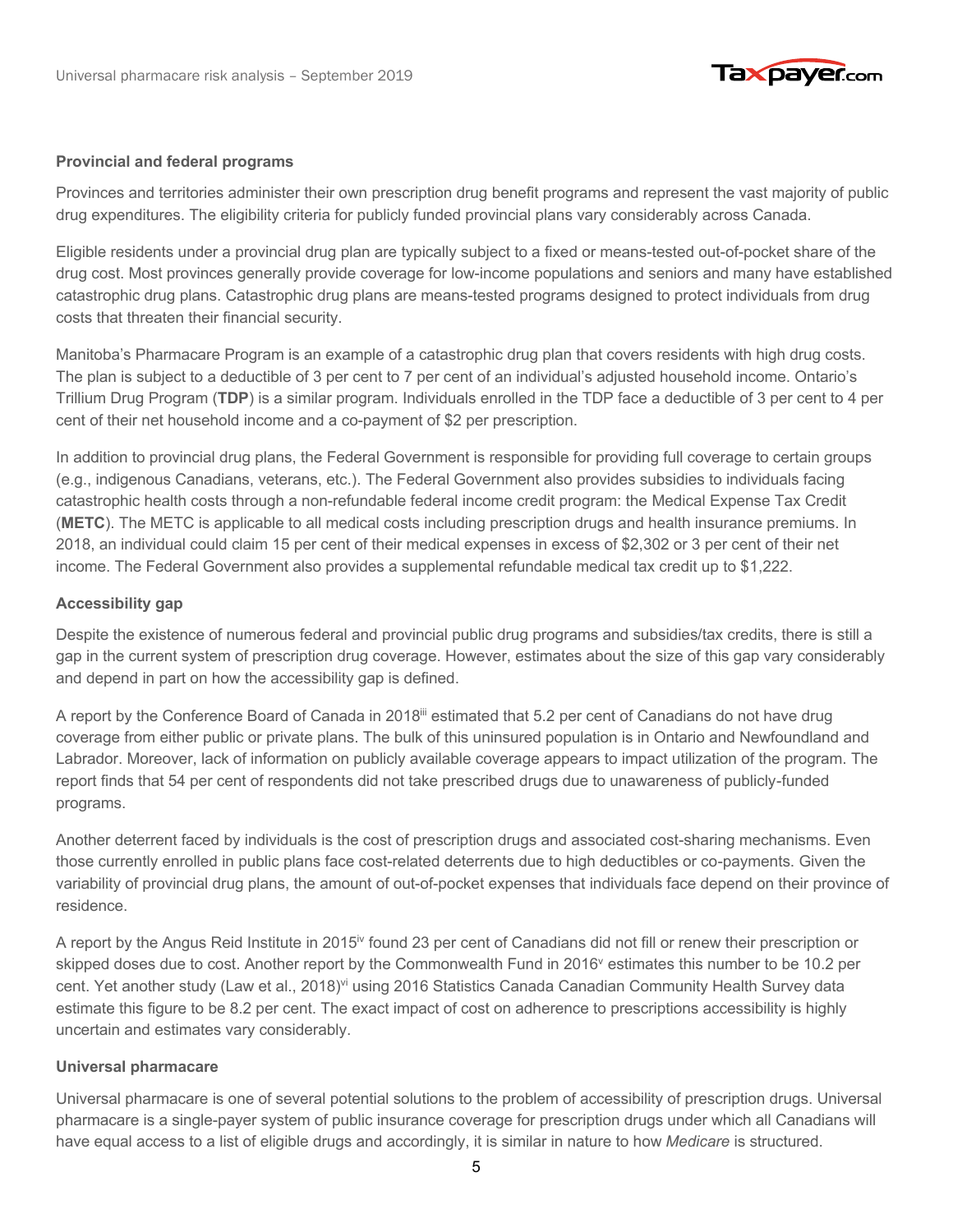

#### **Provincial and federal programs**

Provinces and territories administer their own prescription drug benefit programs and represent the vast majority of public drug expenditures. The eligibility criteria for publicly funded provincial plans vary considerably across Canada.

Eligible residents under a provincial drug plan are typically subject to a fixed or means-tested out-of-pocket share of the drug cost. Most provinces generally provide coverage for low-income populations and seniors and many have established catastrophic drug plans. Catastrophic drug plans are means-tested programs designed to protect individuals from drug costs that threaten their financial security.

Manitoba's Pharmacare Program is an example of a catastrophic drug plan that covers residents with high drug costs. The plan is subject to a deductible of 3 per cent to 7 per cent of an individual's adjusted household income. Ontario's Trillium Drug Program (**TDP**) is a similar program. Individuals enrolled in the TDP face a deductible of 3 per cent to 4 per cent of their net household income and a co-payment of \$2 per prescription.

In addition to provincial drug plans, the Federal Government is responsible for providing full coverage to certain groups (e.g., indigenous Canadians, veterans, etc.). The Federal Government also provides subsidies to individuals facing catastrophic health costs through a non-refundable federal income credit program: the Medical Expense Tax Credit (**METC**). The METC is applicable to all medical costs including prescription drugs and health insurance premiums. In 2018, an individual could claim 15 per cent of their medical expenses in excess of \$2,302 or 3 per cent of their net income. The Federal Government also provides a supplemental refundable medical tax credit up to \$1,222.

#### **Accessibility gap**

Despite the existence of numerous federal and provincial public drug programs and subsidies/tax credits, there is still a gap in the current system of prescription drug coverage. However, estimates about the size of this gap vary considerably and depend in part on how the accessibility gap is defined.

A report by the Conference Board of Canada in 2018<sup>iii</sup> estimated that 5.2 per cent of Canadians do not have drug coverage from either public or private plans. The bulk of this uninsured population is in Ontario and Newfoundland and Labrador. Moreover, lack of information on publicly available coverage appears to impact utilization of the program. The report finds that 54 per cent of respondents did not take prescribed drugs due to unawareness of publicly-funded programs.

Another deterrent faced by individuals is the cost of prescription drugs and associated cost-sharing mechanisms. Even those currently enrolled in public plans face cost-related deterrents due to high deductibles or co-payments. Given the variability of provincial drug plans, the amount of out-of-pocket expenses that individuals face depend on their province of residence.

A report by the Angus Reid Institute in 2015<sup>iv</sup> found 23 per cent of Canadians did not fill or renew their prescription or skipped doses due to cost. Another report by the Commonwealth Fund in 2016<sup>v</sup> estimates this number to be 10.2 per cent. Yet another study (Law et al., 2018)<sup>vi</sup> using 2016 Statistics Canada Canadian Community Health Survey data estimate this figure to be 8.2 per cent. The exact impact of cost on adherence to prescriptions accessibility is highly uncertain and estimates vary considerably.

#### **Universal pharmacare**

Universal pharmacare is one of several potential solutions to the problem of accessibility of prescription drugs. Universal pharmacare is a single-payer system of public insurance coverage for prescription drugs under which all Canadians will have equal access to a list of eligible drugs and accordingly, it is similar in nature to how *Medicare* is structured.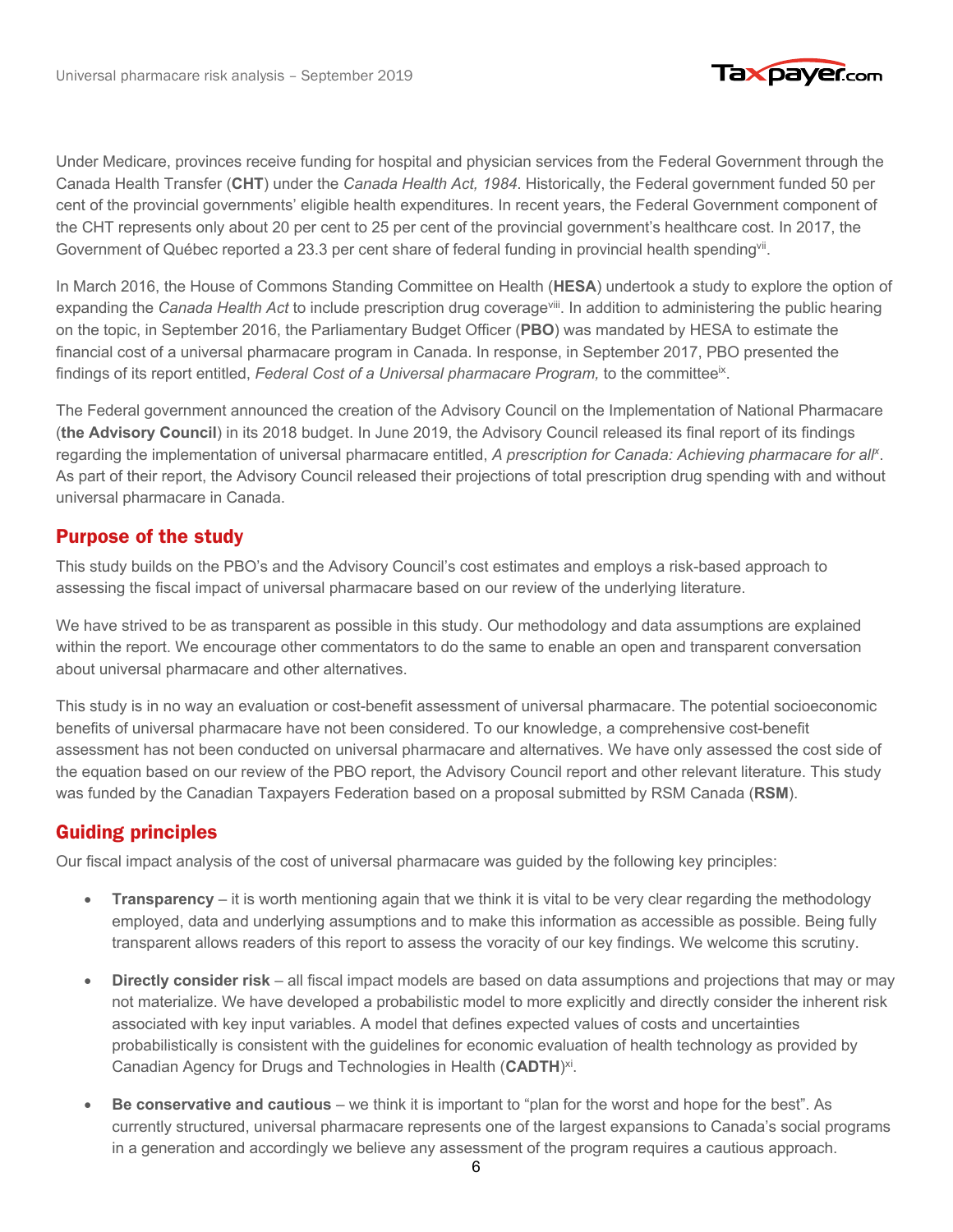

Under Medicare, provinces receive funding for hospital and physician services from the Federal Government through the Canada Health Transfer (**CHT**) under the *Canada Health Act, 1984*. Historically, the Federal government funded 50 per cent of the provincial governments' eligible health expenditures. In recent years, the Federal Government component of the CHT represents only about 20 per cent to 25 per cent of the provincial government's healthcare cost. In 2017, the Government of Québec reported a 23.3 per cent share of federal funding in provincial health spending<sup>vii</sup>.

In March 2016, the House of Commons Standing Committee on Health (**HESA**) undertook a study to explore the option of expanding the *Canada Health Act* to include prescription drug coverage<sup>viii</sup>. In addition to administering the public hearing on the topic, in September 2016, the Parliamentary Budget Officer (**PBO**) was mandated by HESA to estimate the financial cost of a universal pharmacare program in Canada. In response, in September 2017, PBO presented the findings of its report entitled, *Federal Cost of a Universal pharmacare Program,* to the committeeix.

The Federal government announced the creation of the Advisory Council on the Implementation of National Pharmacare (**the Advisory Council**) in its 2018 budget. In June 2019, the Advisory Council released its final report of its findings regarding the implementation of universal pharmacare entitled, A prescription for Canada: Achieving pharmacare for all<sup>x</sup>. As part of their report, the Advisory Council released their projections of total prescription drug spending with and without universal pharmacare in Canada.

### Purpose of the study Purpose of the study

This study builds on the PBO's and the Advisory Council's cost estimates and employs a risk-based approach to assessing the fiscal impact of universal pharmacare based on our review of the underlying literature.

We have strived to be as transparent as possible in this study. Our methodology and data assumptions are explained within the report. We encourage other commentators to do the same to enable an open and transparent conversation about universal pharmacare and other alternatives.

This study is in no way an evaluation or cost-benefit assessment of universal pharmacare. The potential socioeconomic benefits of universal pharmacare have not been considered. To our knowledge, a comprehensive cost-benefit assessment has not been conducted on universal pharmacare and alternatives. We have only assessed the cost side of the equation based on our review of the PBO report, the Advisory Council report and other relevant literature. This study was funded by the Canadian Taxpayers Federation based on a proposal submitted by RSM Canada (**RSM**).

### Guiding principles Guiding principles

Our fiscal impact analysis of the cost of universal pharmacare was guided by the following key principles:

- **Transparency** it is worth mentioning again that we think it is vital to be very clear regarding the methodology employed, data and underlying assumptions and to make this information as accessible as possible. Being fully transparent allows readers of this report to assess the voracity of our key findings. We welcome this scrutiny.
- **Directly consider risk** all fiscal impact models are based on data assumptions and projections that may or may not materialize. We have developed a probabilistic model to more explicitly and directly consider the inherent risk associated with key input variables. A model that defines expected values of costs and uncertainties probabilistically is consistent with the guidelines for economic evaluation of health technology as provided by Canadian Agency for Drugs and Technologies in Health (**CADTH**) xi.
- **Be conservative and cautious** we think it is important to "plan for the worst and hope for the best". As currently structured, universal pharmacare represents one of the largest expansions to Canada's social programs in a generation and accordingly we believe any assessment of the program requires a cautious approach.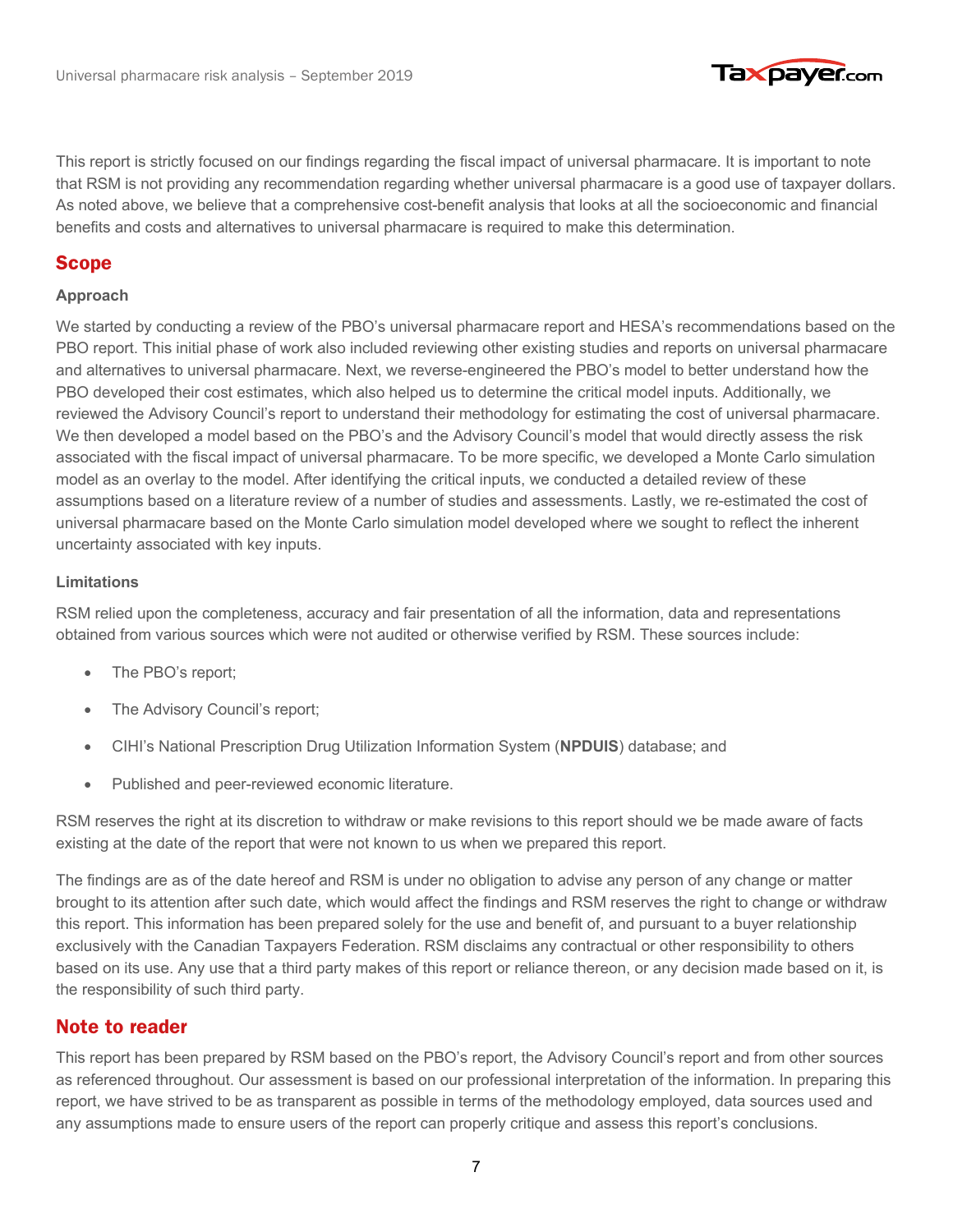

This report is strictly focused on our findings regarding the fiscal impact of universal pharmacare. It is important to note that RSM is not providing any recommendation regarding whether universal pharmacare is a good use of taxpayer dollars. As noted above, we believe that a comprehensive cost-benefit analysis that looks at all the socioeconomic and financial benefits and costs and alternatives to universal pharmacare is required to make this determination.

#### Scope Scope

#### **Approach**

We started by conducting a review of the PBO's universal pharmacare report and HESA's recommendations based on the PBO report. This initial phase of work also included reviewing other existing studies and reports on universal pharmacare and alternatives to universal pharmacare. Next, we reverse-engineered the PBO's model to better understand how the PBO developed their cost estimates, which also helped us to determine the critical model inputs. Additionally, we reviewed the Advisory Council's report to understand their methodology for estimating the cost of universal pharmacare. We then developed a model based on the PBO's and the Advisory Council's model that would directly assess the risk associated with the fiscal impact of universal pharmacare. To be more specific, we developed a Monte Carlo simulation model as an overlay to the model. After identifying the critical inputs, we conducted a detailed review of these assumptions based on a literature review of a number of studies and assessments. Lastly, we re-estimated the cost of universal pharmacare based on the Monte Carlo simulation model developed where we sought to reflect the inherent uncertainty associated with key inputs.

#### **Limitations**

RSM relied upon the completeness, accuracy and fair presentation of all the information, data and representations obtained from various sources which were not audited or otherwise verified by RSM. These sources include:

- The PBO's report;
- The Advisory Council's report;
- CIHI's National Prescription Drug Utilization Information System (**NPDUIS**) database; and
- Published and peer-reviewed economic literature.

RSM reserves the right at its discretion to withdraw or make revisions to this report should we be made aware of facts existing at the date of the report that were not known to us when we prepared this report.

The findings are as of the date hereof and RSM is under no obligation to advise any person of any change or matter brought to its attention after such date, which would affect the findings and RSM reserves the right to change or withdraw this report. This information has been prepared solely for the use and benefit of, and pursuant to a buyer relationship exclusively with the Canadian Taxpayers Federation. RSM disclaims any contractual or other responsibility to others based on its use. Any use that a third party makes of this report or reliance thereon, or any decision made based on it, is the responsibility of such third party.

#### Note to reader Note to reader

This report has been prepared by RSM based on the PBO's report, the Advisory Council's report and from other sources as referenced throughout. Our assessment is based on our professional interpretation of the information. In preparing this report, we have strived to be as transparent as possible in terms of the methodology employed, data sources used and any assumptions made to ensure users of the report can properly critique and assess this report's conclusions.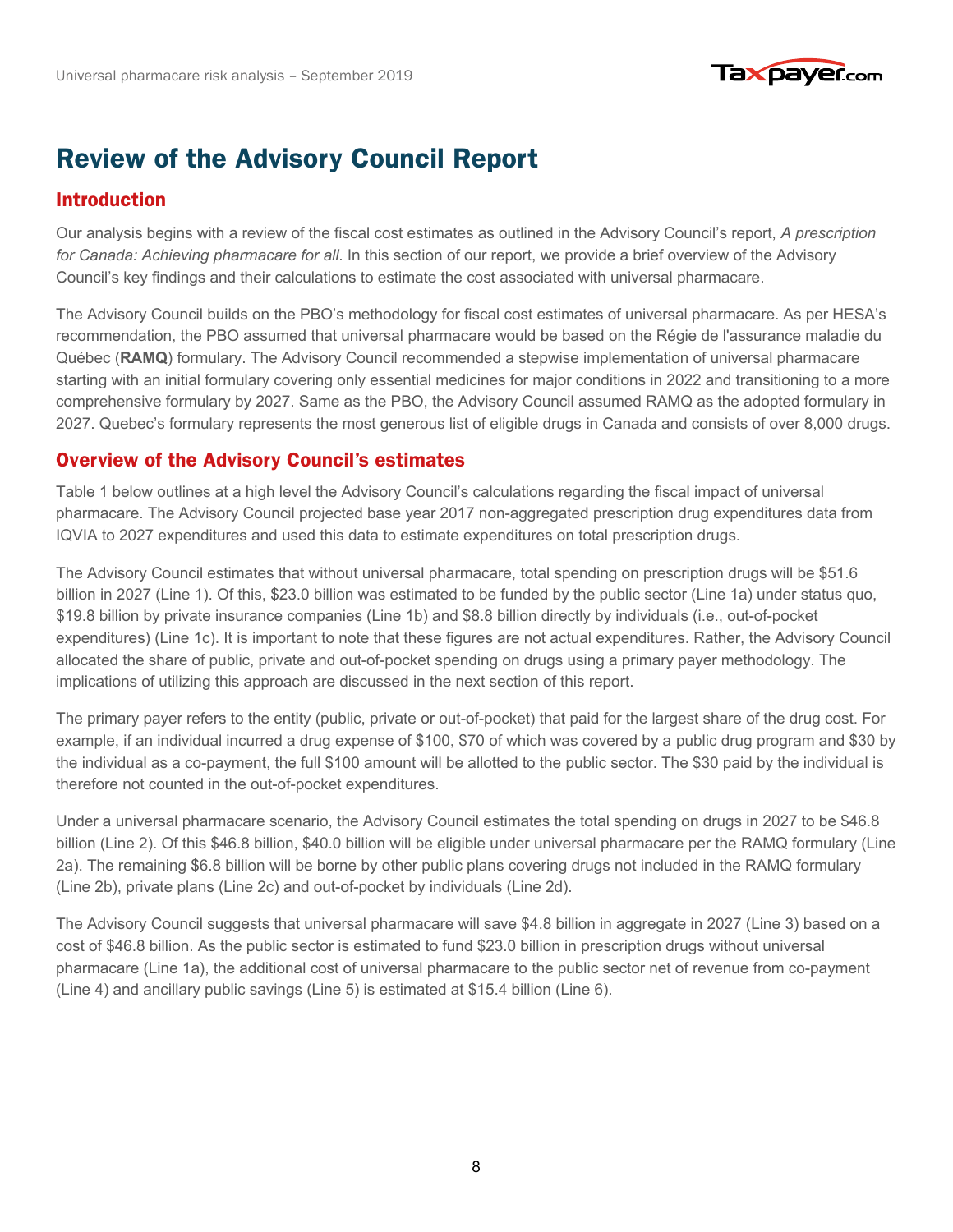

# **Review of the Advisory Council Report**

## Introduction Introduction

Our analysis begins with a review of the fiscal cost estimates as outlined in the Advisory Council's report, *A prescription for Canada: Achieving pharmacare for all*. In this section of our report, we provide a brief overview of the Advisory Council's key findings and their calculations to estimate the cost associated with universal pharmacare.

The Advisory Council builds on the PBO's methodology for fiscal cost estimates of universal pharmacare. As per HESA's recommendation, the PBO assumed that universal pharmacare would be based on the Régie de l'assurance maladie du Québec (**RAMQ**) formulary. The Advisory Council recommended a stepwise implementation of universal pharmacare starting with an initial formulary covering only essential medicines for major conditions in 2022 and transitioning to a more comprehensive formulary by 2027. Same as the PBO, the Advisory Council assumed RAMQ as the adopted formulary in 2027. Quebec's formulary represents the most generous list of eligible drugs in Canada and consists of over 8,000 drugs.

#### Overview of the Advisory Council's estimates Overview of the Advisory Council's estimates

Table 1 below outlines at a high level the Advisory Council's calculations regarding the fiscal impact of universal pharmacare. The Advisory Council projected base year 2017 non-aggregated prescription drug expenditures data from IQVIA to 2027 expenditures and used this data to estimate expenditures on total prescription drugs.

The Advisory Council estimates that without universal pharmacare, total spending on prescription drugs will be \$51.6 billion in 2027 (Line 1). Of this, \$23.0 billion was estimated to be funded by the public sector (Line 1a) under status quo, \$19.8 billion by private insurance companies (Line 1b) and \$8.8 billion directly by individuals (i.e., out-of-pocket expenditures) (Line 1c). It is important to note that these figures are not actual expenditures. Rather, the Advisory Council allocated the share of public, private and out-of-pocket spending on drugs using a primary payer methodology. The implications of utilizing this approach are discussed in the next section of this report.

The primary payer refers to the entity (public, private or out-of-pocket) that paid for the largest share of the drug cost. For example, if an individual incurred a drug expense of \$100, \$70 of which was covered by a public drug program and \$30 by the individual as a co-payment, the full \$100 amount will be allotted to the public sector. The \$30 paid by the individual is therefore not counted in the out-of-pocket expenditures.

Under a universal pharmacare scenario, the Advisory Council estimates the total spending on drugs in 2027 to be \$46.8 billion (Line 2). Of this \$46.8 billion, \$40.0 billion will be eligible under universal pharmacare per the RAMQ formulary (Line 2a). The remaining \$6.8 billion will be borne by other public plans covering drugs not included in the RAMQ formulary (Line 2b), private plans (Line 2c) and out-of-pocket by individuals (Line 2d).

The Advisory Council suggests that universal pharmacare will save \$4.8 billion in aggregate in 2027 (Line 3) based on a cost of \$46.8 billion. As the public sector is estimated to fund \$23.0 billion in prescription drugs without universal pharmacare (Line 1a), the additional cost of universal pharmacare to the public sector net of revenue from co-payment (Line 4) and ancillary public savings (Line 5) is estimated at \$15.4 billion (Line 6).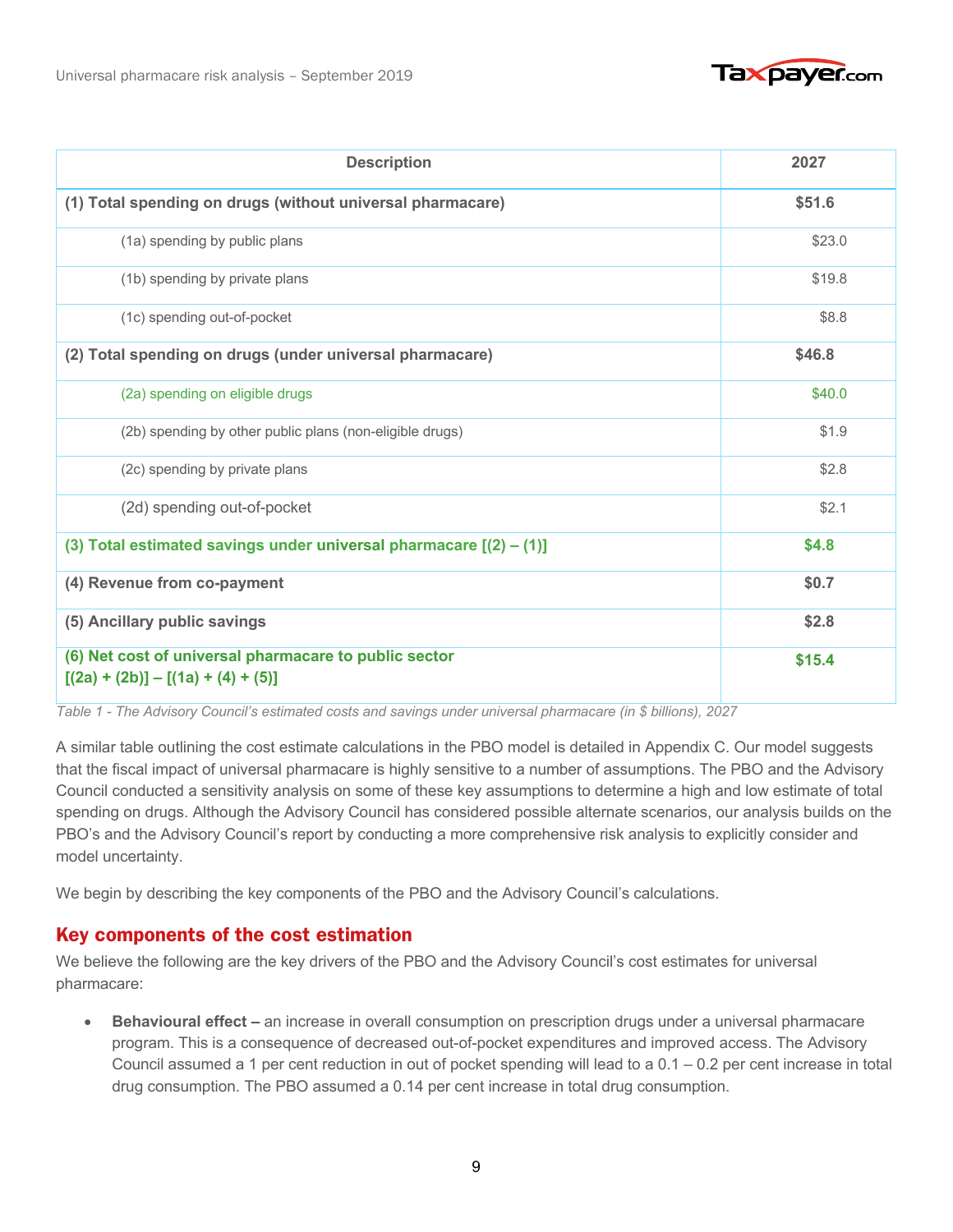

| <b>Description</b>                                                                            | 2027   |
|-----------------------------------------------------------------------------------------------|--------|
| (1) Total spending on drugs (without universal pharmacare)                                    | \$51.6 |
| (1a) spending by public plans                                                                 | \$23.0 |
| (1b) spending by private plans                                                                | \$19.8 |
| (1c) spending out-of-pocket                                                                   | \$8.8  |
| (2) Total spending on drugs (under universal pharmacare)                                      | \$46.8 |
| (2a) spending on eligible drugs                                                               | \$40.0 |
| (2b) spending by other public plans (non-eligible drugs)                                      | \$1.9  |
| (2c) spending by private plans                                                                | \$2.8  |
| (2d) spending out-of-pocket                                                                   | \$2.1  |
| (3) Total estimated savings under universal pharmacare $[(2) - (1)]$                          | \$4.8  |
| (4) Revenue from co-payment                                                                   | \$0.7  |
| (5) Ancillary public savings                                                                  | \$2.8  |
| (6) Net cost of universal pharmacare to public sector<br>$[(2a) + (2b)] - [(1a) + (4) + (5)]$ | \$15.4 |

*Table 1 - The Advisory Council's estimated costs and savings under universal pharmacare (in \$ billions), 2027*

A similar table outlining the cost estimate calculations in the PBO model is detailed in Appendix C. Our model suggests that the fiscal impact of universal pharmacare is highly sensitive to a number of assumptions. The PBO and the Advisory Council conducted a sensitivity analysis on some of these key assumptions to determine a high and low estimate of total spending on drugs. Although the Advisory Council has considered possible alternate scenarios, our analysis builds on the PBO's and the Advisory Council's report by conducting a more comprehensive risk analysis to explicitly consider and model uncertainty.

We begin by describing the key components of the PBO and the Advisory Council's calculations.

## Key components of the cost estimation Key components of the cost estimation

We believe the following are the key drivers of the PBO and the Advisory Council's cost estimates for universal pharmacare:

• **Behavioural effect –** an increase in overall consumption on prescription drugs under a universal pharmacare program. This is a consequence of decreased out-of-pocket expenditures and improved access. The Advisory Council assumed a 1 per cent reduction in out of pocket spending will lead to a  $0.1 - 0.2$  per cent increase in total drug consumption. The PBO assumed a 0.14 per cent increase in total drug consumption.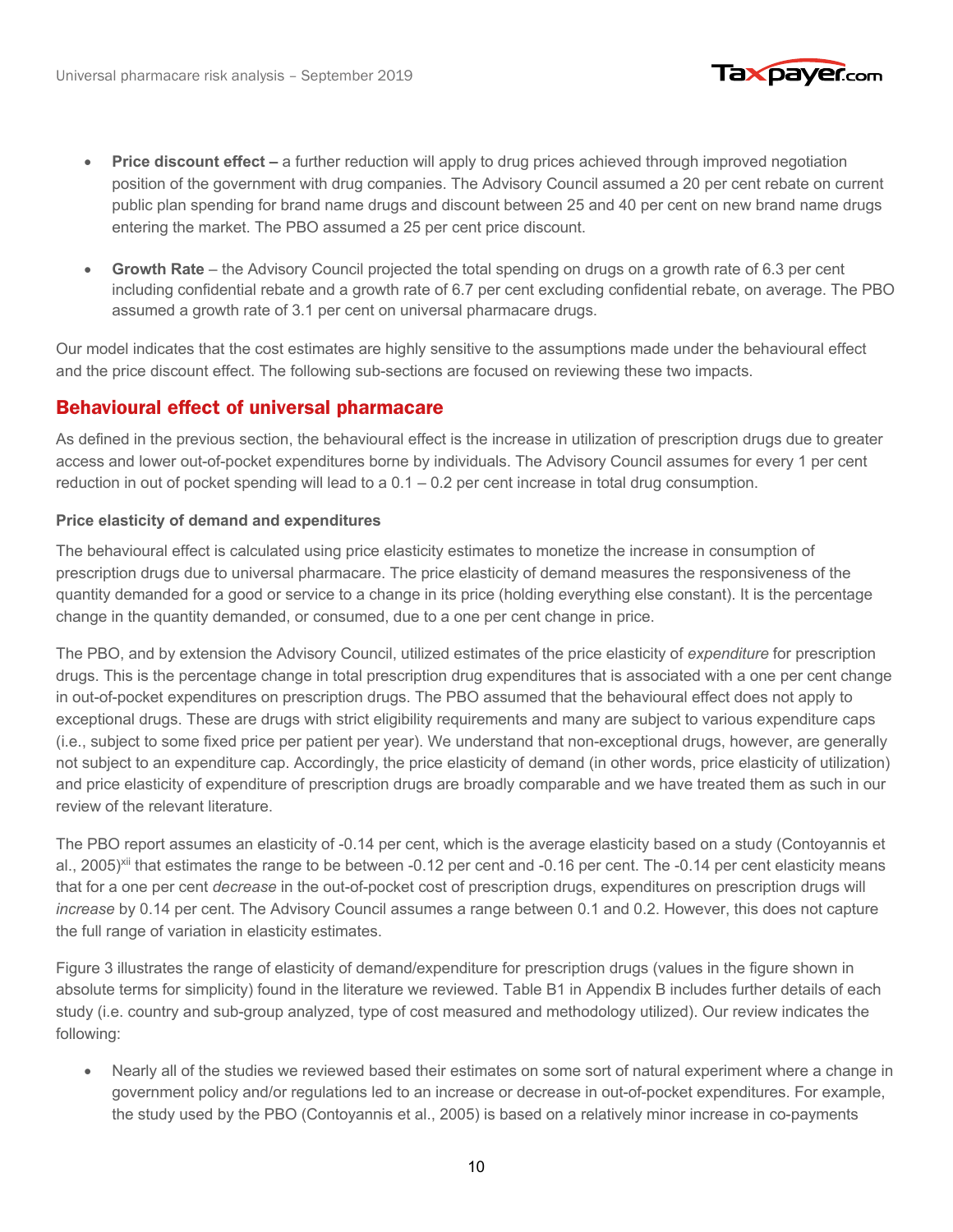

- **Price discount effect** a further reduction will apply to drug prices achieved through improved negotiation position of the government with drug companies. The Advisory Council assumed a 20 per cent rebate on current public plan spending for brand name drugs and discount between 25 and 40 per cent on new brand name drugs entering the market. The PBO assumed a 25 per cent price discount.
- **Growth Rate** the Advisory Council projected the total spending on drugs on a growth rate of 6.3 per cent including confidential rebate and a growth rate of 6.7 per cent excluding confidential rebate, on average. The PBO assumed a growth rate of 3.1 per cent on universal pharmacare drugs.

Our model indicates that the cost estimates are highly sensitive to the assumptions made under the behavioural effect and the price discount effect. The following sub-sections are focused on reviewing these two impacts.

#### Behavioural effect of universal pharmacare Behavioural effect of universal pharmacare

As defined in the previous section, the behavioural effect is the increase in utilization of prescription drugs due to greater access and lower out-of-pocket expenditures borne by individuals. The Advisory Council assumes for every 1 per cent reduction in out of pocket spending will lead to a 0.1 – 0.2 per cent increase in total drug consumption.

#### **Price elasticity of demand and expenditures**

The behavioural effect is calculated using price elasticity estimates to monetize the increase in consumption of prescription drugs due to universal pharmacare. The price elasticity of demand measures the responsiveness of the quantity demanded for a good or service to a change in its price (holding everything else constant). It is the percentage change in the quantity demanded, or consumed, due to a one per cent change in price.

The PBO, and by extension the Advisory Council, utilized estimates of the price elasticity of *expenditure* for prescription drugs. This is the percentage change in total prescription drug expenditures that is associated with a one per cent change in out-of-pocket expenditures on prescription drugs. The PBO assumed that the behavioural effect does not apply to exceptional drugs. These are drugs with strict eligibility requirements and many are subject to various expenditure caps (i.e., subject to some fixed price per patient per year). We understand that non-exceptional drugs, however, are generally not subject to an expenditure cap. Accordingly, the price elasticity of demand (in other words, price elasticity of utilization) and price elasticity of expenditure of prescription drugs are broadly comparable and we have treated them as such in our review of the relevant literature.

The PBO report assumes an elasticity of -0.14 per cent, which is the average elasticity based on a study (Contoyannis et al., 2005)<sup>xii</sup> that estimates the range to be between -0.12 per cent and -0.16 per cent. The -0.14 per cent elasticity means that for a one per cent *decrease* in the out-of-pocket cost of prescription drugs, expenditures on prescription drugs will *increase* by 0.14 per cent. The Advisory Council assumes a range between 0.1 and 0.2. However, this does not capture the full range of variation in elasticity estimates.

Figure 3 illustrates the range of elasticity of demand/expenditure for prescription drugs (values in the figure shown in absolute terms for simplicity) found in the literature we reviewed. Table B1 in Appendix B includes further details of each study (i.e. country and sub-group analyzed, type of cost measured and methodology utilized). Our review indicates the following:

• Nearly all of the studies we reviewed based their estimates on some sort of natural experiment where a change in government policy and/or regulations led to an increase or decrease in out-of-pocket expenditures. For example, the study used by the PBO (Contoyannis et al., 2005) is based on a relatively minor increase in co-payments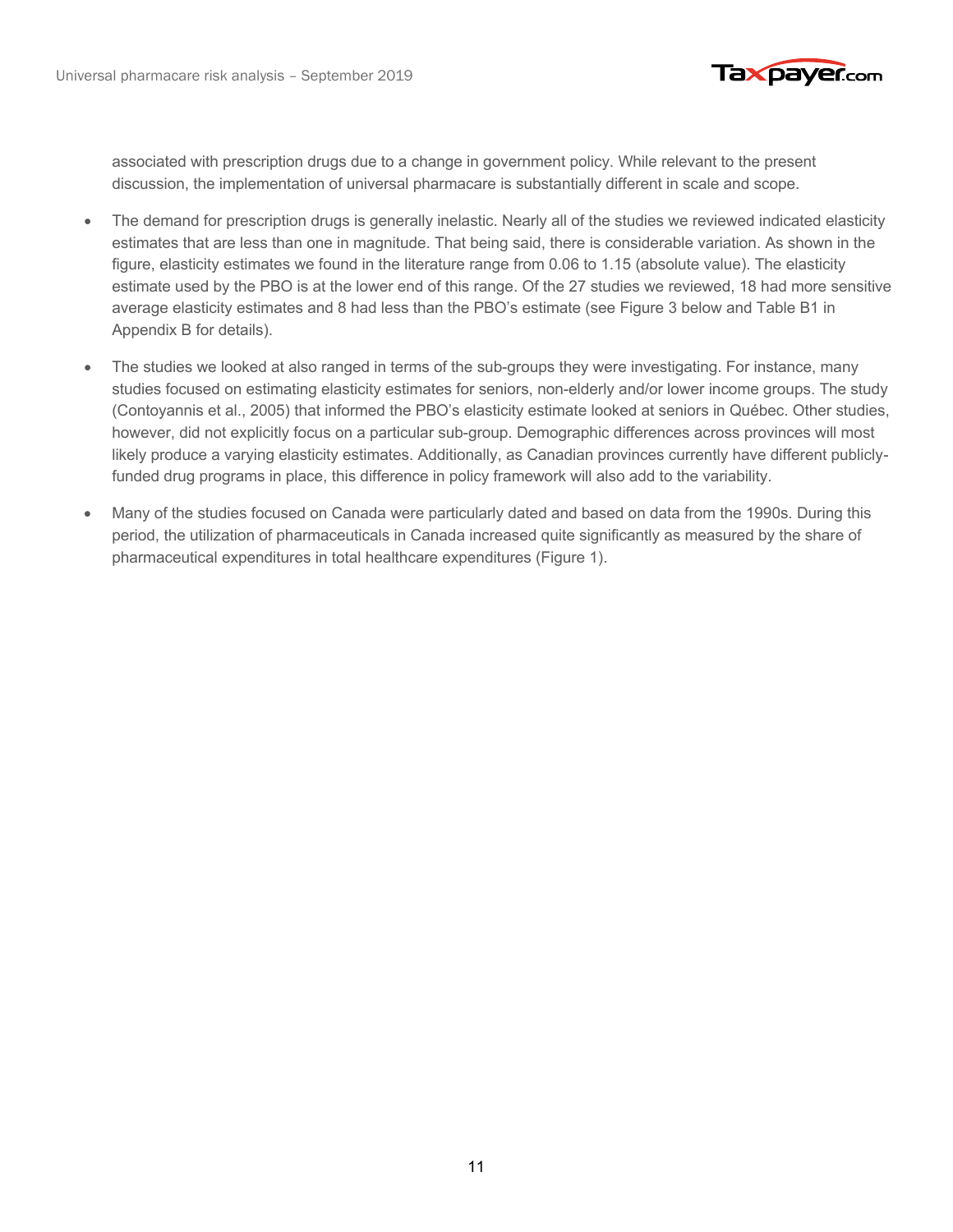

associated with prescription drugs due to a change in government policy. While relevant to the present discussion, the implementation of universal pharmacare is substantially different in scale and scope.

- The demand for prescription drugs is generally inelastic. Nearly all of the studies we reviewed indicated elasticity estimates that are less than one in magnitude. That being said, there is considerable variation. As shown in the figure, elasticity estimates we found in the literature range from 0.06 to 1.15 (absolute value). The elasticity estimate used by the PBO is at the lower end of this range. Of the 27 studies we reviewed, 18 had more sensitive average elasticity estimates and 8 had less than the PBO's estimate (see Figure 3 below and Table B1 in Appendix B for details).
- The studies we looked at also ranged in terms of the sub-groups they were investigating. For instance, many studies focused on estimating elasticity estimates for seniors, non-elderly and/or lower income groups. The study (Contoyannis et al., 2005) that informed the PBO's elasticity estimate looked at seniors in Québec. Other studies, however, did not explicitly focus on a particular sub-group. Demographic differences across provinces will most likely produce a varying elasticity estimates. Additionally, as Canadian provinces currently have different publiclyfunded drug programs in place, this difference in policy framework will also add to the variability.
- Many of the studies focused on Canada were particularly dated and based on data from the 1990s. During this period, the utilization of pharmaceuticals in Canada increased quite significantly as measured by the share of pharmaceutical expenditures in total healthcare expenditures (Figure 1).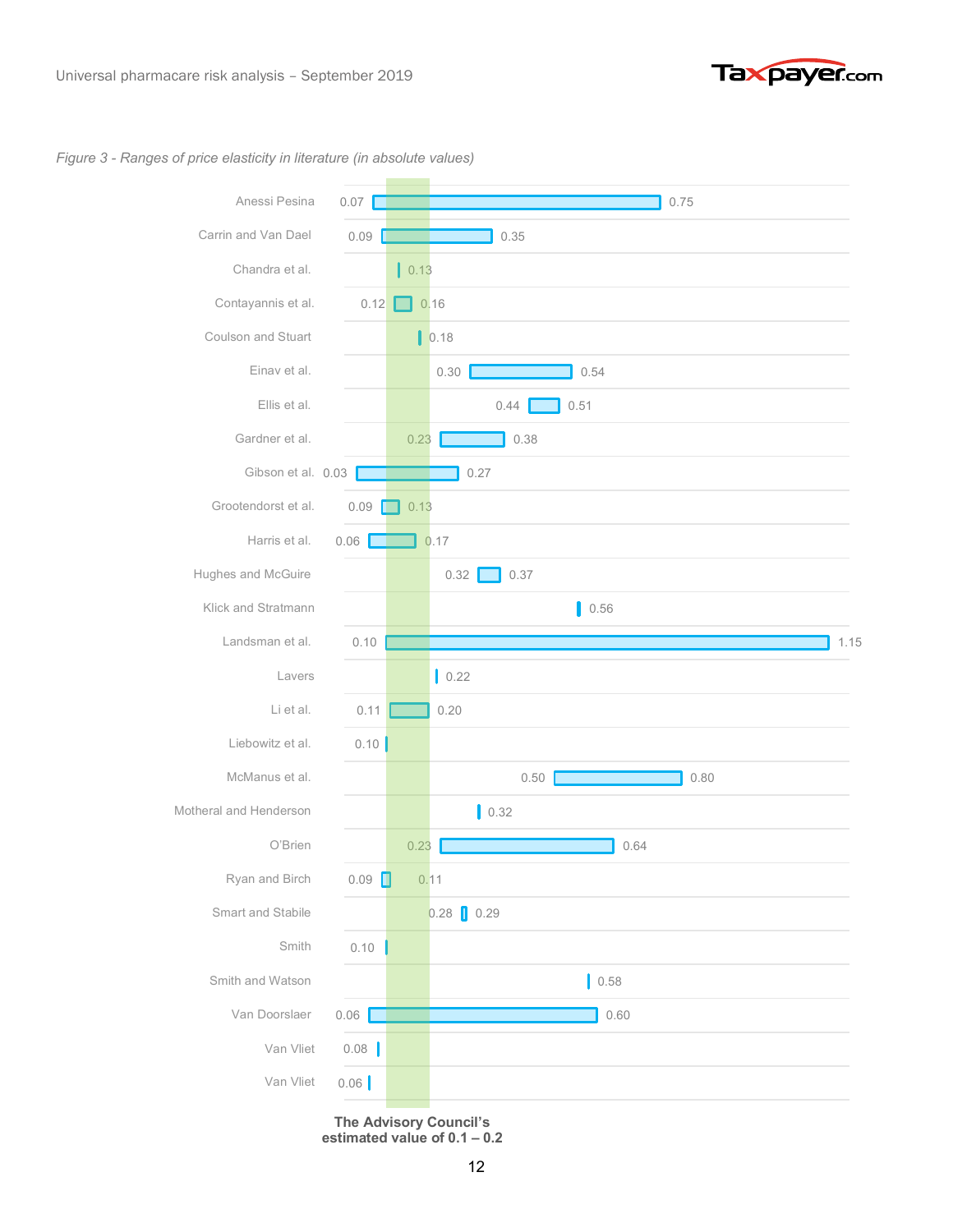

#### *Figure 3 - Ranges of price elasticity in literature (in absolute values)*



**The Advisory Council's estimated value of 0.1 – 0.2**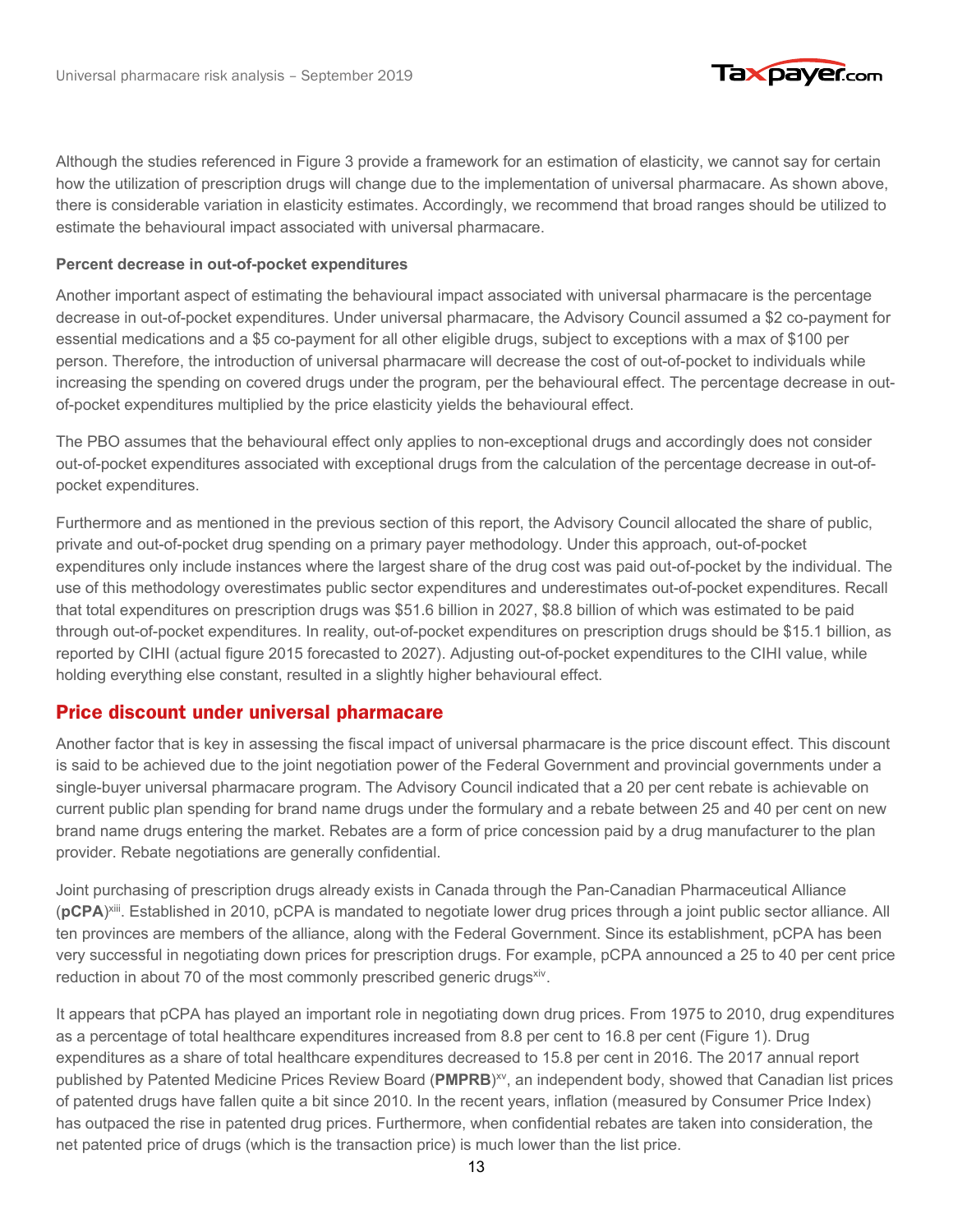

Although the studies referenced in Figure 3 provide a framework for an estimation of elasticity, we cannot say for certain how the utilization of prescription drugs will change due to the implementation of universal pharmacare. As shown above, there is considerable variation in elasticity estimates. Accordingly, we recommend that broad ranges should be utilized to estimate the behavioural impact associated with universal pharmacare.

#### **Percent decrease in out-of-pocket expenditures**

Another important aspect of estimating the behavioural impact associated with universal pharmacare is the percentage decrease in out-of-pocket expenditures. Under universal pharmacare, the Advisory Council assumed a \$2 co-payment for essential medications and a \$5 co-payment for all other eligible drugs, subject to exceptions with a max of \$100 per person. Therefore, the introduction of universal pharmacare will decrease the cost of out-of-pocket to individuals while increasing the spending on covered drugs under the program, per the behavioural effect. The percentage decrease in outof-pocket expenditures multiplied by the price elasticity yields the behavioural effect.

The PBO assumes that the behavioural effect only applies to non-exceptional drugs and accordingly does not consider out-of-pocket expenditures associated with exceptional drugs from the calculation of the percentage decrease in out-ofpocket expenditures.

Furthermore and as mentioned in the previous section of this report, the Advisory Council allocated the share of public, private and out-of-pocket drug spending on a primary payer methodology. Under this approach, out-of-pocket expenditures only include instances where the largest share of the drug cost was paid out-of-pocket by the individual. The use of this methodology overestimates public sector expenditures and underestimates out-of-pocket expenditures. Recall that total expenditures on prescription drugs was \$51.6 billion in 2027, \$8.8 billion of which was estimated to be paid through out-of-pocket expenditures. In reality, out-of-pocket expenditures on prescription drugs should be \$15.1 billion, as reported by CIHI (actual figure 2015 forecasted to 2027). Adjusting out-of-pocket expenditures to the CIHI value, while holding everything else constant, resulted in a slightly higher behavioural effect.

#### Price discount under universal pharmacare Price discount under universal pharmacare

Another factor that is key in assessing the fiscal impact of universal pharmacare is the price discount effect. This discount is said to be achieved due to the joint negotiation power of the Federal Government and provincial governments under a single-buyer universal pharmacare program. The Advisory Council indicated that a 20 per cent rebate is achievable on current public plan spending for brand name drugs under the formulary and a rebate between 25 and 40 per cent on new brand name drugs entering the market. Rebates are a form of price concession paid by a drug manufacturer to the plan provider. Rebate negotiations are generally confidential.

Joint purchasing of prescription drugs already exists in Canada through the Pan-Canadian Pharmaceutical Alliance (**pCPA**) xiii. Established in 2010, pCPA is mandated to negotiate lower drug prices through a joint public sector alliance. All ten provinces are members of the alliance, along with the Federal Government. Since its establishment, pCPA has been very successful in negotiating down prices for prescription drugs. For example, pCPA announced a 25 to 40 per cent price reduction in about 70 of the most commonly prescribed generic drugs<sup>xiv</sup>.

It appears that pCPA has played an important role in negotiating down drug prices. From 1975 to 2010, drug expenditures as a percentage of total healthcare expenditures increased from 8.8 per cent to 16.8 per cent (Figure 1). Drug expenditures as a share of total healthcare expenditures decreased to 15.8 per cent in 2016. The 2017 annual report published by Patented Medicine Prices Review Board (PMPRB)<sup>xv</sup>, an independent body, showed that Canadian list prices of patented drugs have fallen quite a bit since 2010. In the recent years, inflation (measured by Consumer Price Index) has outpaced the rise in patented drug prices. Furthermore, when confidential rebates are taken into consideration, the net patented price of drugs (which is the transaction price) is much lower than the list price.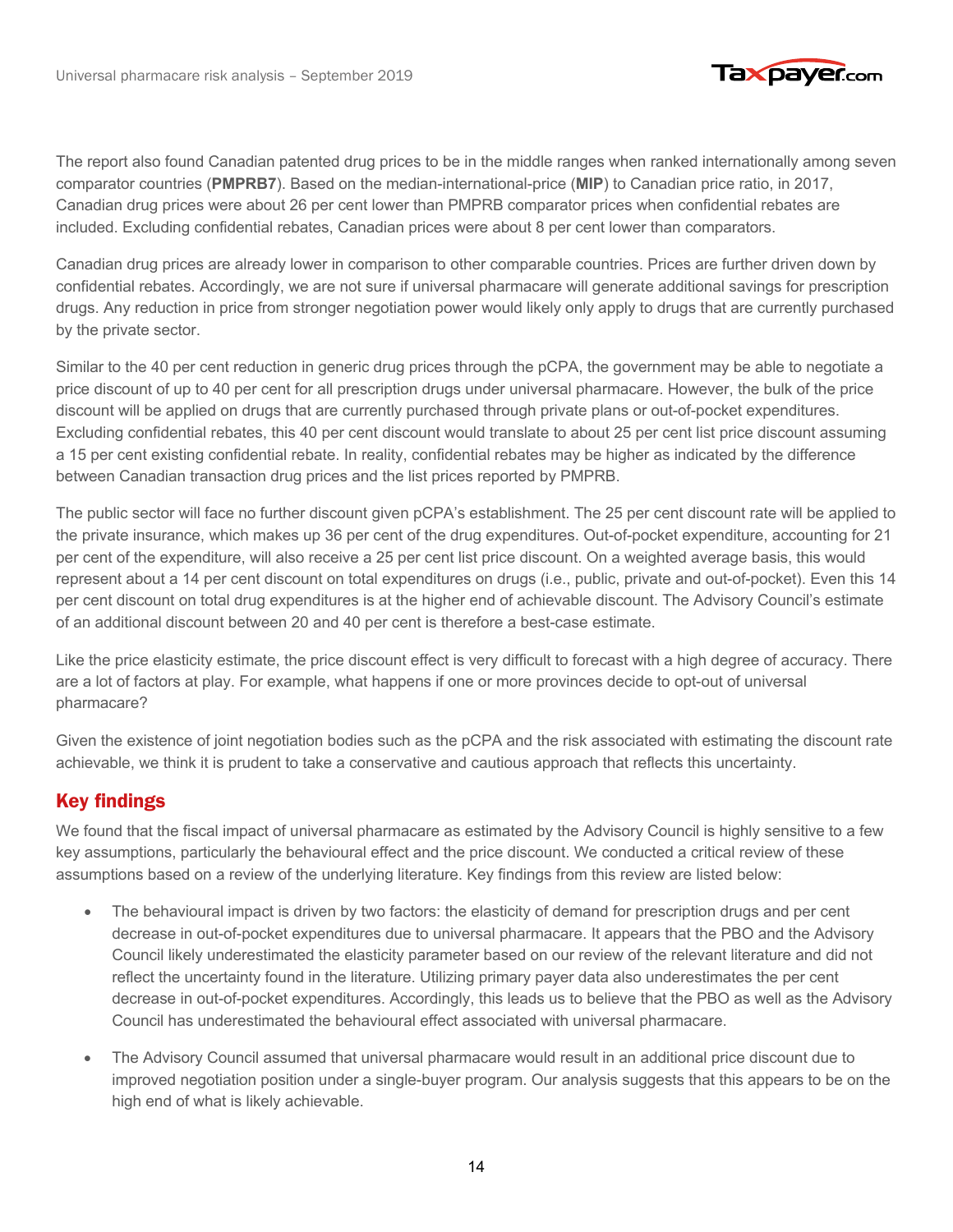

The report also found Canadian patented drug prices to be in the middle ranges when ranked internationally among seven comparator countries (**PMPRB7**). Based on the median-international-price (**MIP**) to Canadian price ratio, in 2017, Canadian drug prices were about 26 per cent lower than PMPRB comparator prices when confidential rebates are included. Excluding confidential rebates, Canadian prices were about 8 per cent lower than comparators.

Canadian drug prices are already lower in comparison to other comparable countries. Prices are further driven down by confidential rebates. Accordingly, we are not sure if universal pharmacare will generate additional savings for prescription drugs. Any reduction in price from stronger negotiation power would likely only apply to drugs that are currently purchased by the private sector.

Similar to the 40 per cent reduction in generic drug prices through the pCPA, the government may be able to negotiate a price discount of up to 40 per cent for all prescription drugs under universal pharmacare. However, the bulk of the price discount will be applied on drugs that are currently purchased through private plans or out-of-pocket expenditures. Excluding confidential rebates, this 40 per cent discount would translate to about 25 per cent list price discount assuming a 15 per cent existing confidential rebate. In reality, confidential rebates may be higher as indicated by the difference between Canadian transaction drug prices and the list prices reported by PMPRB.

The public sector will face no further discount given pCPA's establishment. The 25 per cent discount rate will be applied to the private insurance, which makes up 36 per cent of the drug expenditures. Out-of-pocket expenditure, accounting for 21 per cent of the expenditure, will also receive a 25 per cent list price discount. On a weighted average basis, this would represent about a 14 per cent discount on total expenditures on drugs (i.e., public, private and out-of-pocket). Even this 14 per cent discount on total drug expenditures is at the higher end of achievable discount. The Advisory Council's estimate of an additional discount between 20 and 40 per cent is therefore a best-case estimate.

Like the price elasticity estimate, the price discount effect is very difficult to forecast with a high degree of accuracy. There are a lot of factors at play. For example, what happens if one or more provinces decide to opt-out of universal pharmacare?

Given the existence of joint negotiation bodies such as the pCPA and the risk associated with estimating the discount rate achievable, we think it is prudent to take a conservative and cautious approach that reflects this uncertainty.

### Key findings Key findings

We found that the fiscal impact of universal pharmacare as estimated by the Advisory Council is highly sensitive to a few key assumptions, particularly the behavioural effect and the price discount. We conducted a critical review of these assumptions based on a review of the underlying literature. Key findings from this review are listed below:

- The behavioural impact is driven by two factors: the elasticity of demand for prescription drugs and per cent decrease in out-of-pocket expenditures due to universal pharmacare. It appears that the PBO and the Advisory Council likely underestimated the elasticity parameter based on our review of the relevant literature and did not reflect the uncertainty found in the literature. Utilizing primary payer data also underestimates the per cent decrease in out-of-pocket expenditures. Accordingly, this leads us to believe that the PBO as well as the Advisory Council has underestimated the behavioural effect associated with universal pharmacare.
- The Advisory Council assumed that universal pharmacare would result in an additional price discount due to improved negotiation position under a single-buyer program. Our analysis suggests that this appears to be on the high end of what is likely achievable.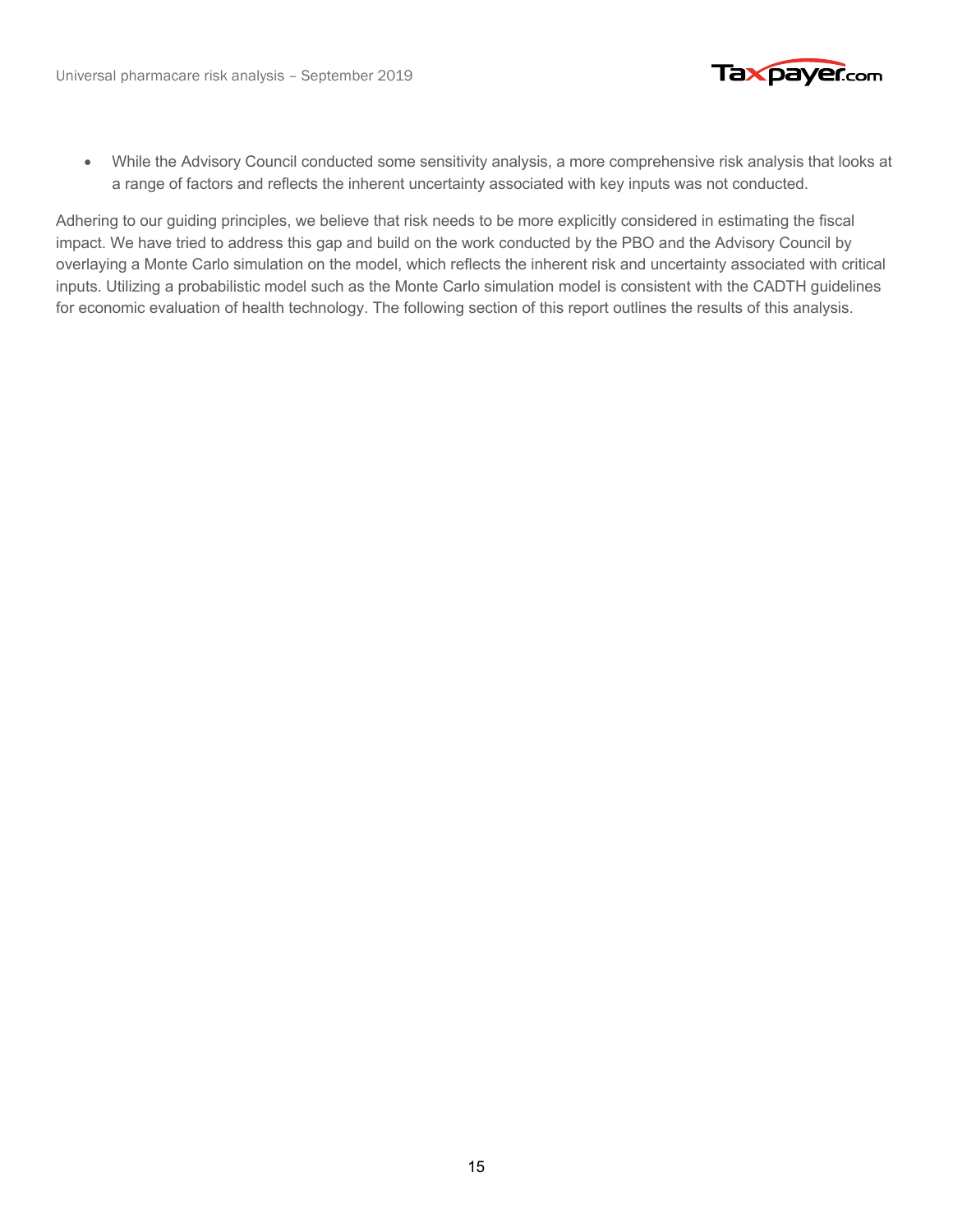

• While the Advisory Council conducted some sensitivity analysis, a more comprehensive risk analysis that looks at a range of factors and reflects the inherent uncertainty associated with key inputs was not conducted.

Adhering to our guiding principles, we believe that risk needs to be more explicitly considered in estimating the fiscal impact. We have tried to address this gap and build on the work conducted by the PBO and the Advisory Council by overlaying a Monte Carlo simulation on the model, which reflects the inherent risk and uncertainty associated with critical inputs. Utilizing a probabilistic model such as the Monte Carlo simulation model is consistent with the CADTH guidelines for economic evaluation of health technology. The following section of this report outlines the results of this analysis.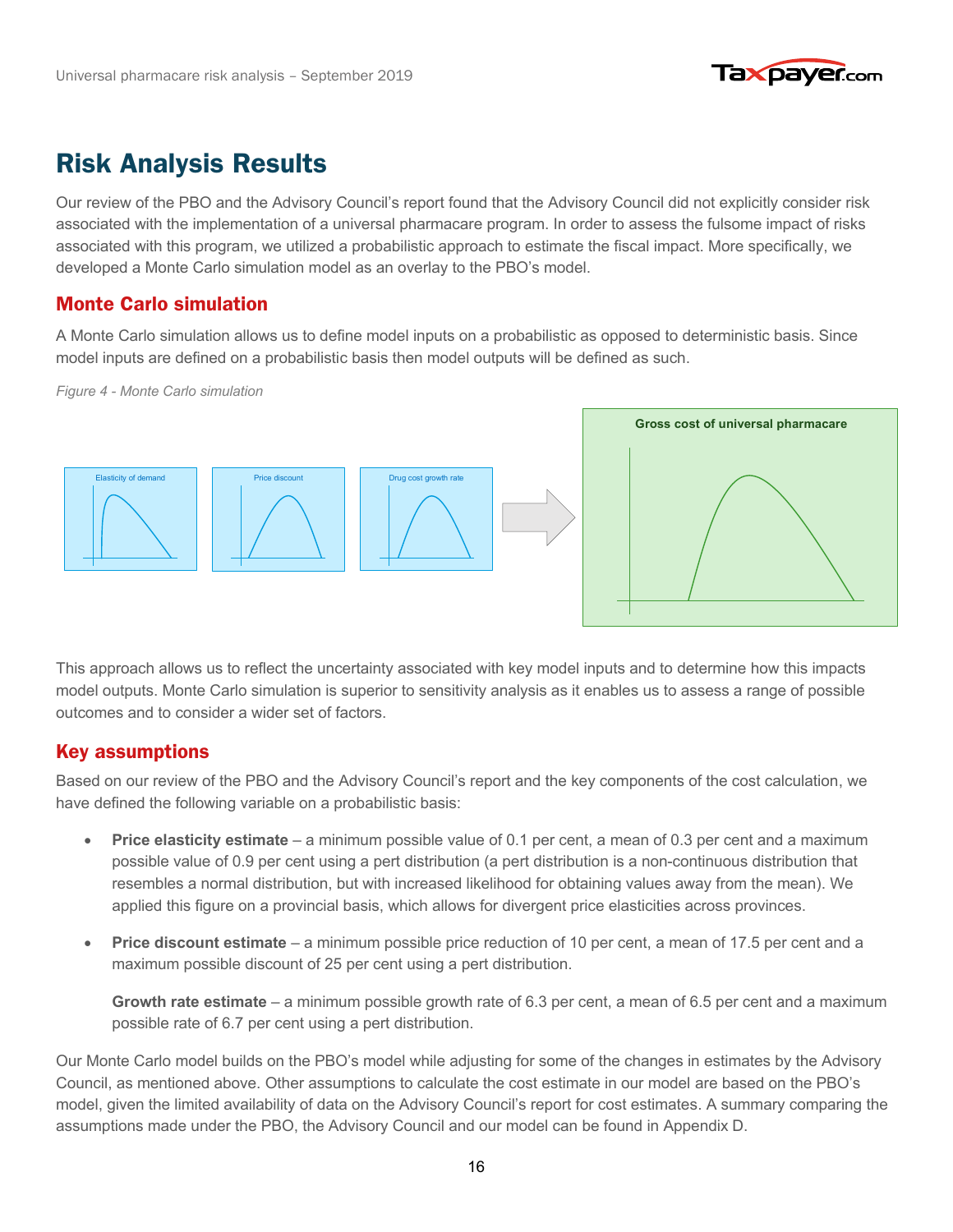

# **Risk Analysis Results**

Our review of the PBO and the Advisory Council's report found that the Advisory Council did not explicitly consider risk associated with the implementation of a universal pharmacare program. In order to assess the fulsome impact of risks associated with this program, we utilized a probabilistic approach to estimate the fiscal impact. More specifically, we developed a Monte Carlo simulation model as an overlay to the PBO's model.

#### Monte Carlo simulation Monte Carlo simulation

A Monte Carlo simulation allows us to define model inputs on a probabilistic as opposed to deterministic basis. Since model inputs are defined on a probabilistic basis then model outputs will be defined as such.

*Figure 4 - Monte Carlo simulation*



This approach allows us to reflect the uncertainty associated with key model inputs and to determine how this impacts model outputs. Monte Carlo simulation is superior to sensitivity analysis as it enables us to assess a range of possible outcomes and to consider a wider set of factors.

#### Key assumptions Key assumptions

Based on our review of the PBO and the Advisory Council's report and the key components of the cost calculation, we have defined the following variable on a probabilistic basis:

- **Price elasticity estimate** a minimum possible value of 0.1 per cent, a mean of 0.3 per cent and a maximum possible value of 0.9 per cent using a pert distribution (a pert distribution is a non-continuous distribution that resembles a normal distribution, but with increased likelihood for obtaining values away from the mean). We applied this figure on a provincial basis, which allows for divergent price elasticities across provinces.
- **Price discount estimate**  a minimum possible price reduction of 10 per cent, a mean of 17.5 per cent and a maximum possible discount of 25 per cent using a pert distribution.

**Growth rate estimate** – a minimum possible growth rate of 6.3 per cent, a mean of 6.5 per cent and a maximum possible rate of 6.7 per cent using a pert distribution.

Our Monte Carlo model builds on the PBO's model while adjusting for some of the changes in estimates by the Advisory Council, as mentioned above. Other assumptions to calculate the cost estimate in our model are based on the PBO's model, given the limited availability of data on the Advisory Council's report for cost estimates. A summary comparing the assumptions made under the PBO, the Advisory Council and our model can be found in Appendix D.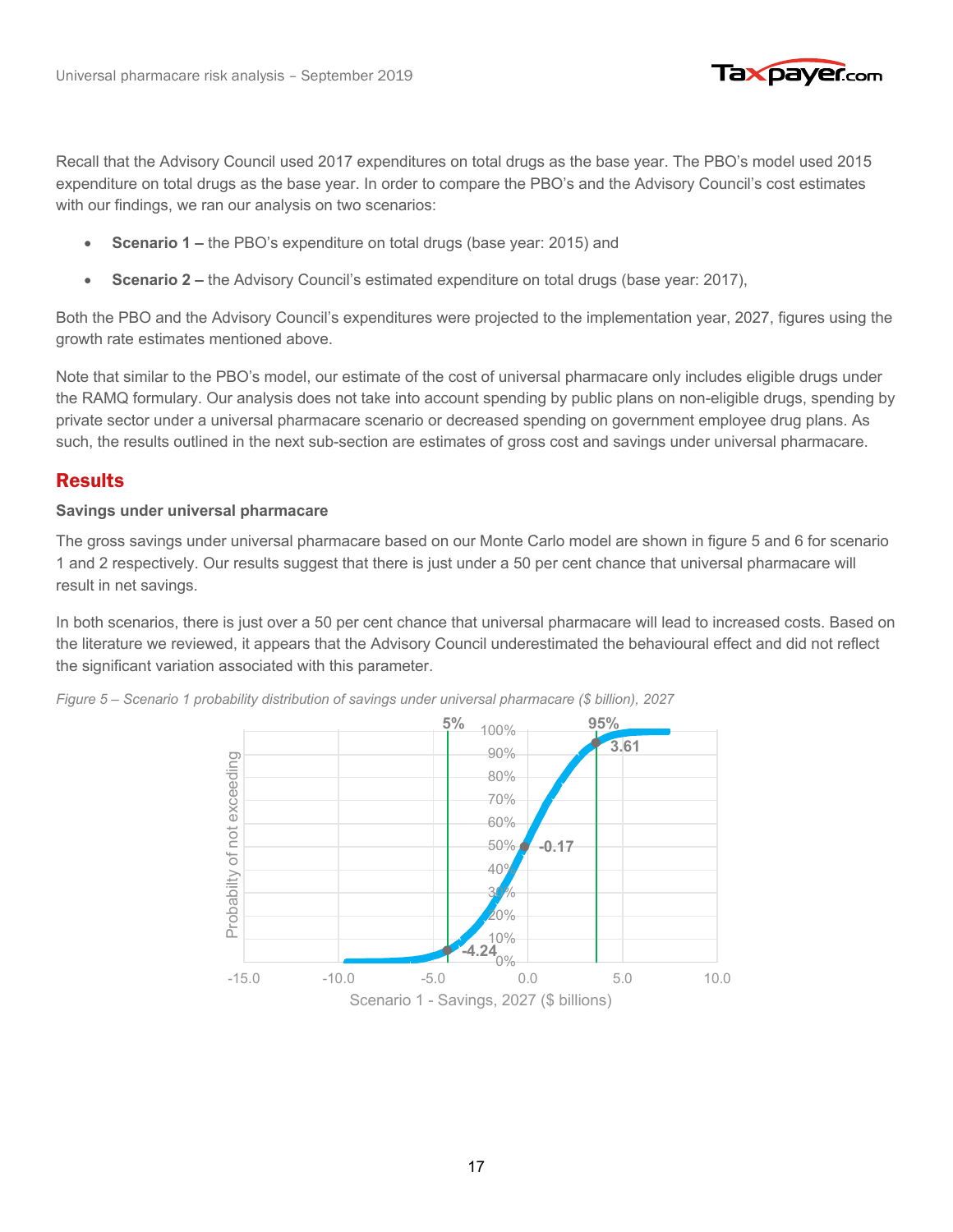

Recall that the Advisory Council used 2017 expenditures on total drugs as the base year. The PBO's model used 2015 expenditure on total drugs as the base year. In order to compare the PBO's and the Advisory Council's cost estimates with our findings, we ran our analysis on two scenarios:

- **Scenario 1 –** the PBO's expenditure on total drugs (base year: 2015) and
- **Scenario 2** the Advisory Council's estimated expenditure on total drugs (base year: 2017),

Both the PBO and the Advisory Council's expenditures were projected to the implementation year, 2027, figures using the growth rate estimates mentioned above.

Note that similar to the PBO's model, our estimate of the cost of universal pharmacare only includes eligible drugs under the RAMQ formulary. Our analysis does not take into account spending by public plans on non-eligible drugs, spending by private sector under a universal pharmacare scenario or decreased spending on government employee drug plans. As such, the results outlined in the next sub-section are estimates of gross cost and savings under universal pharmacare.

### Results Results

#### **Savings under universal pharmacare**

The gross savings under universal pharmacare based on our Monte Carlo model are shown in figure 5 and 6 for scenario 1 and 2 respectively. Our results suggest that there is just under a 50 per cent chance that universal pharmacare will result in net savings.

In both scenarios, there is just over a 50 per cent chance that universal pharmacare will lead to increased costs. Based on the literature we reviewed, it appears that the Advisory Council underestimated the behavioural effect and did not reflect the significant variation associated with this parameter.



*Figure 5 – Scenario 1 probability distribution of savings under universal pharmacare (\$ billion), 2027*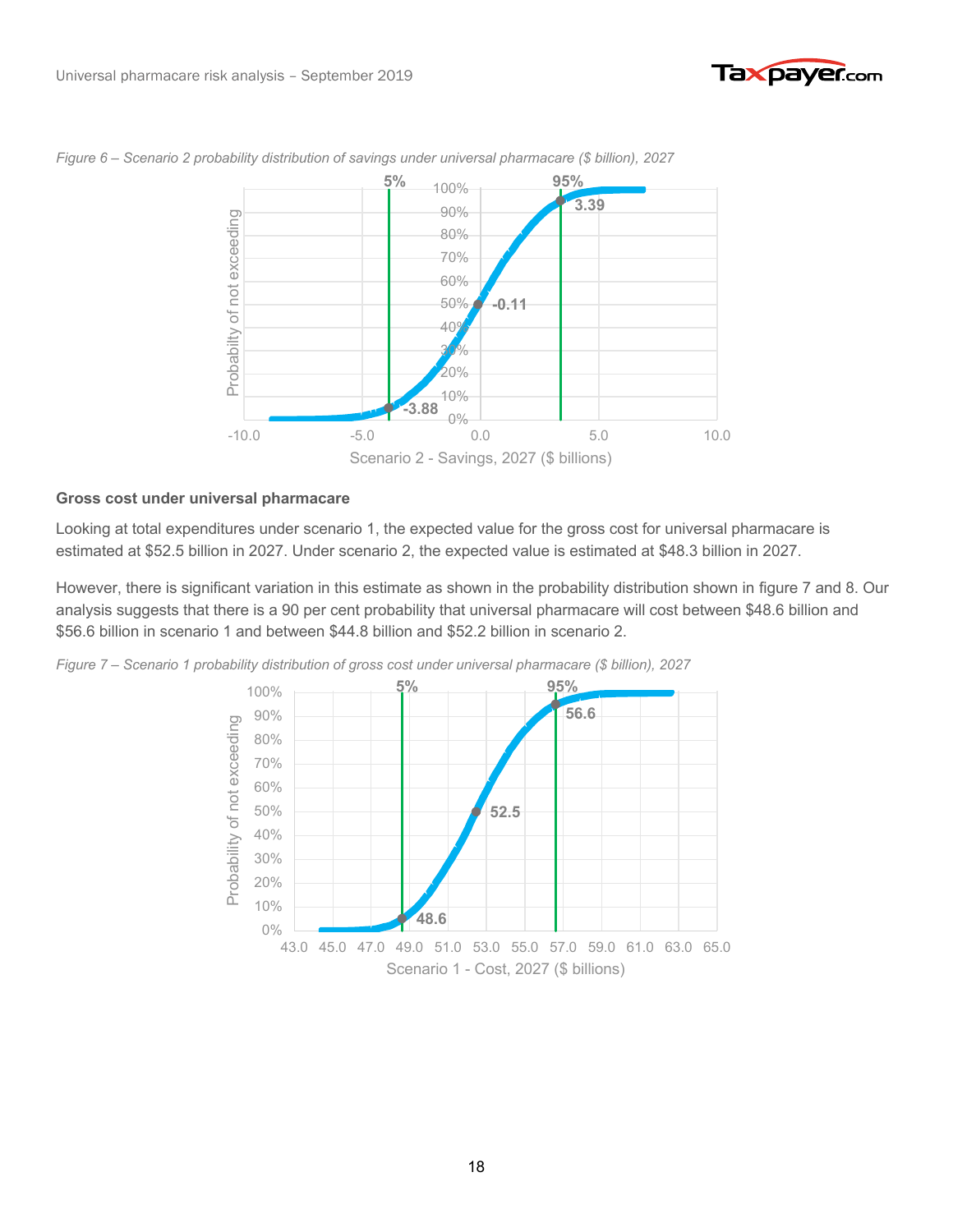



*Figure 6 – Scenario 2 probability distribution of savings under universal pharmacare (\$ billion), 2027*

#### **Gross cost under universal pharmacare**

Looking at total expenditures under scenario 1, the expected value for the gross cost for universal pharmacare is estimated at \$52.5 billion in 2027. Under scenario 2, the expected value is estimated at \$48.3 billion in 2027.

However, there is significant variation in this estimate as shown in the probability distribution shown in figure 7 and 8. Our analysis suggests that there is a 90 per cent probability that universal pharmacare will cost between \$48.6 billion and \$56.6 billion in scenario 1 and between \$44.8 billion and \$52.2 billion in scenario 2.

*Figure 7 – Scenario 1 probability distribution of gross cost under universal pharmacare (\$ billion), 2027*

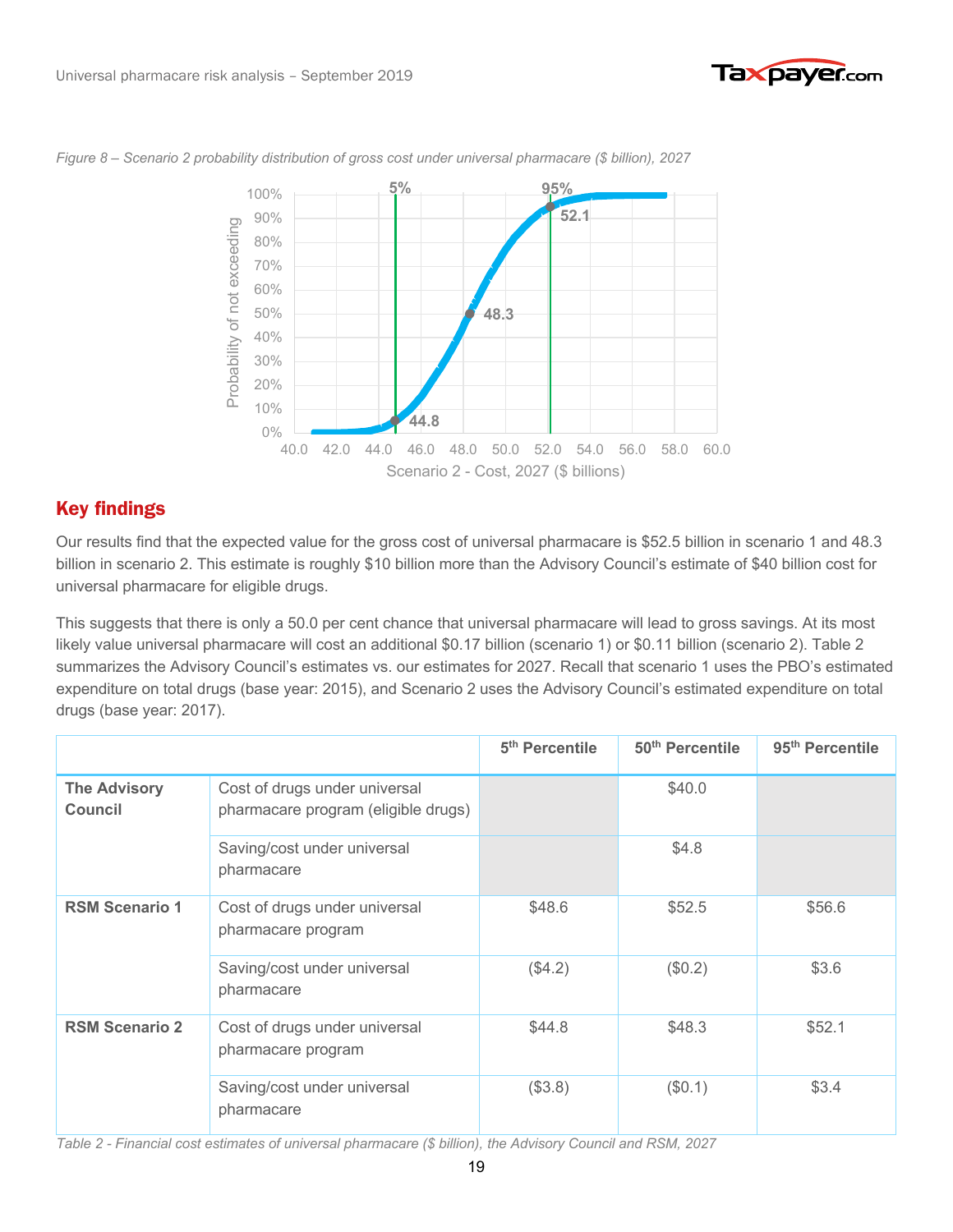



*Figure 8 – Scenario 2 probability distribution of gross cost under universal pharmacare (\$ billion), 2027*

## Key findings Key findings

Our results find that the expected value for the gross cost of universal pharmacare is \$52.5 billion in scenario 1 and 48.3 billion in scenario 2. This estimate is roughly \$10 billion more than the Advisory Council's estimate of \$40 billion cost for universal pharmacare for eligible drugs.

This suggests that there is only a 50.0 per cent chance that universal pharmacare will lead to gross savings. At its most likely value universal pharmacare will cost an additional \$0.17 billion (scenario 1) or \$0.11 billion (scenario 2). Table 2 summarizes the Advisory Council's estimates vs. our estimates for 2027. Recall that scenario 1 uses the PBO's estimated expenditure on total drugs (base year: 2015), and Scenario 2 uses the Advisory Council's estimated expenditure on total drugs (base year: 2017).

|                                |                                                                      | 5 <sup>th</sup> Percentile | 50 <sup>th</sup> Percentile | 95 <sup>th</sup> Percentile |
|--------------------------------|----------------------------------------------------------------------|----------------------------|-----------------------------|-----------------------------|
| <b>The Advisory</b><br>Council | Cost of drugs under universal<br>pharmacare program (eligible drugs) |                            | \$40.0                      |                             |
|                                | Saving/cost under universal<br>pharmacare                            |                            | \$4.8                       |                             |
| <b>RSM Scenario 1</b>          | Cost of drugs under universal<br>pharmacare program                  | \$48.6                     | \$52.5                      | \$56.6                      |
|                                | Saving/cost under universal<br>pharmacare                            | (\$4.2)                    | (\$0.2)                     | \$3.6                       |
| <b>RSM Scenario 2</b>          | Cost of drugs under universal<br>pharmacare program                  | \$44.8                     | \$48.3                      | \$52.1                      |
|                                | Saving/cost under universal<br>pharmacare                            | (\$3.8)                    | (\$0.1)                     | \$3.4                       |

*Table 2 - Financial cost estimates of universal pharmacare (\$ billion), the Advisory Council and RSM, 2027*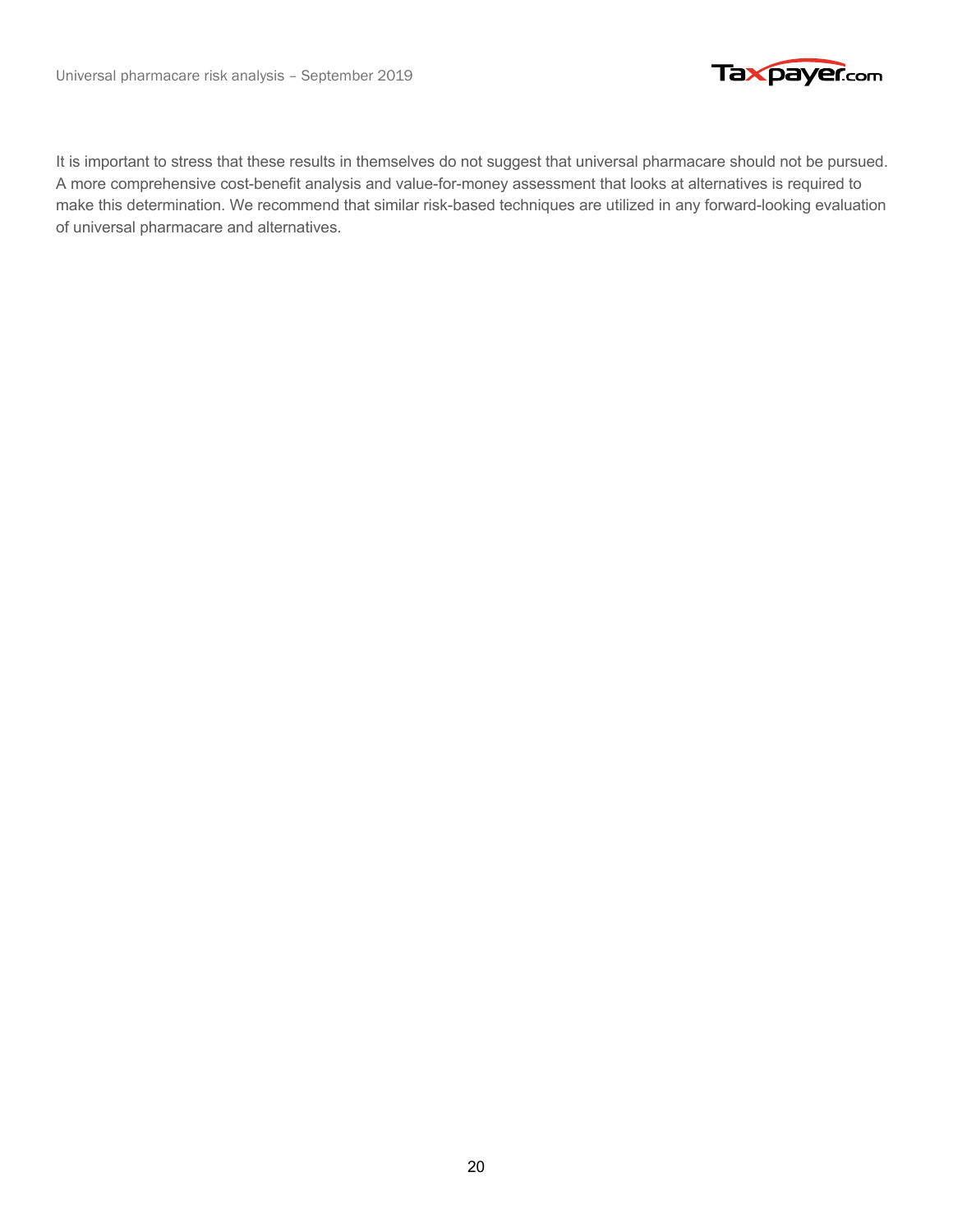

It is important to stress that these results in themselves do not suggest that universal pharmacare should not be pursued. A more comprehensive cost-benefit analysis and value-for-money assessment that looks at alternatives is required to make this determination. We recommend that similar risk-based techniques are utilized in any forward-looking evaluation of universal pharmacare and alternatives.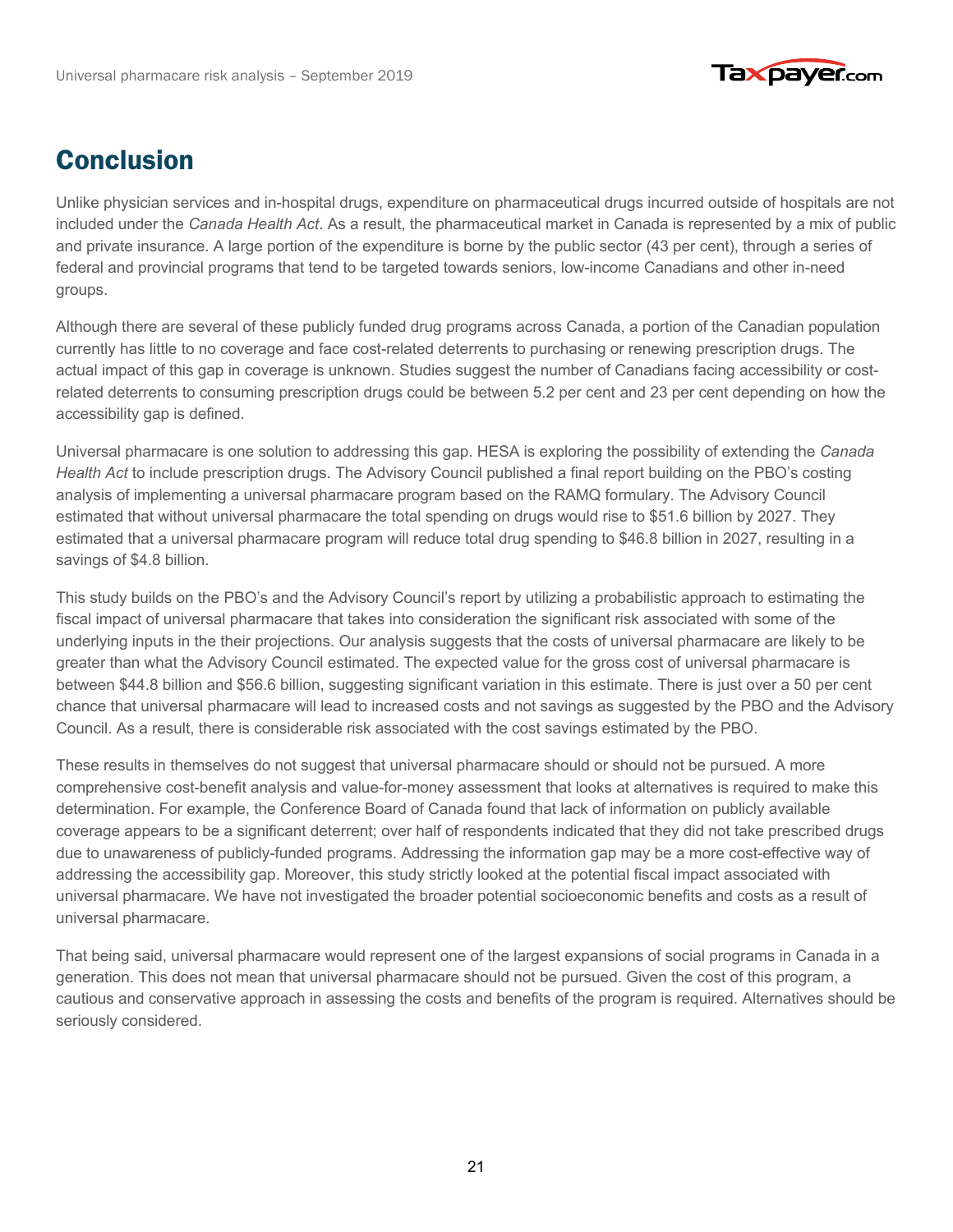

# **Conclusion**

Unlike physician services and in-hospital drugs, expenditure on pharmaceutical drugs incurred outside of hospitals are not included under the *Canada Health Act*. As a result, the pharmaceutical market in Canada is represented by a mix of public and private insurance. A large portion of the expenditure is borne by the public sector (43 per cent), through a series of federal and provincial programs that tend to be targeted towards seniors, low-income Canadians and other in-need groups.

Although there are several of these publicly funded drug programs across Canada, a portion of the Canadian population currently has little to no coverage and face cost-related deterrents to purchasing or renewing prescription drugs. The actual impact of this gap in coverage is unknown. Studies suggest the number of Canadians facing accessibility or costrelated deterrents to consuming prescription drugs could be between 5.2 per cent and 23 per cent depending on how the accessibility gap is defined.

Universal pharmacare is one solution to addressing this gap. HESA is exploring the possibility of extending the *Canada Health Act* to include prescription drugs. The Advisory Council published a final report building on the PBO's costing analysis of implementing a universal pharmacare program based on the RAMQ formulary. The Advisory Council estimated that without universal pharmacare the total spending on drugs would rise to \$51.6 billion by 2027. They estimated that a universal pharmacare program will reduce total drug spending to \$46.8 billion in 2027, resulting in a savings of \$4.8 billion.

This study builds on the PBO's and the Advisory Council's report by utilizing a probabilistic approach to estimating the fiscal impact of universal pharmacare that takes into consideration the significant risk associated with some of the underlying inputs in the their projections. Our analysis suggests that the costs of universal pharmacare are likely to be greater than what the Advisory Council estimated. The expected value for the gross cost of universal pharmacare is between \$44.8 billion and \$56.6 billion, suggesting significant variation in this estimate. There is just over a 50 per cent chance that universal pharmacare will lead to increased costs and not savings as suggested by the PBO and the Advisory Council. As a result, there is considerable risk associated with the cost savings estimated by the PBO.

These results in themselves do not suggest that universal pharmacare should or should not be pursued. A more comprehensive cost-benefit analysis and value-for-money assessment that looks at alternatives is required to make this determination. For example, the Conference Board of Canada found that lack of information on publicly available coverage appears to be a significant deterrent; over half of respondents indicated that they did not take prescribed drugs due to unawareness of publicly-funded programs. Addressing the information gap may be a more cost-effective way of addressing the accessibility gap. Moreover, this study strictly looked at the potential fiscal impact associated with universal pharmacare. We have not investigated the broader potential socioeconomic benefits and costs as a result of universal pharmacare.

That being said, universal pharmacare would represent one of the largest expansions of social programs in Canada in a generation. This does not mean that universal pharmacare should not be pursued. Given the cost of this program, a cautious and conservative approach in assessing the costs and benefits of the program is required. Alternatives should be seriously considered.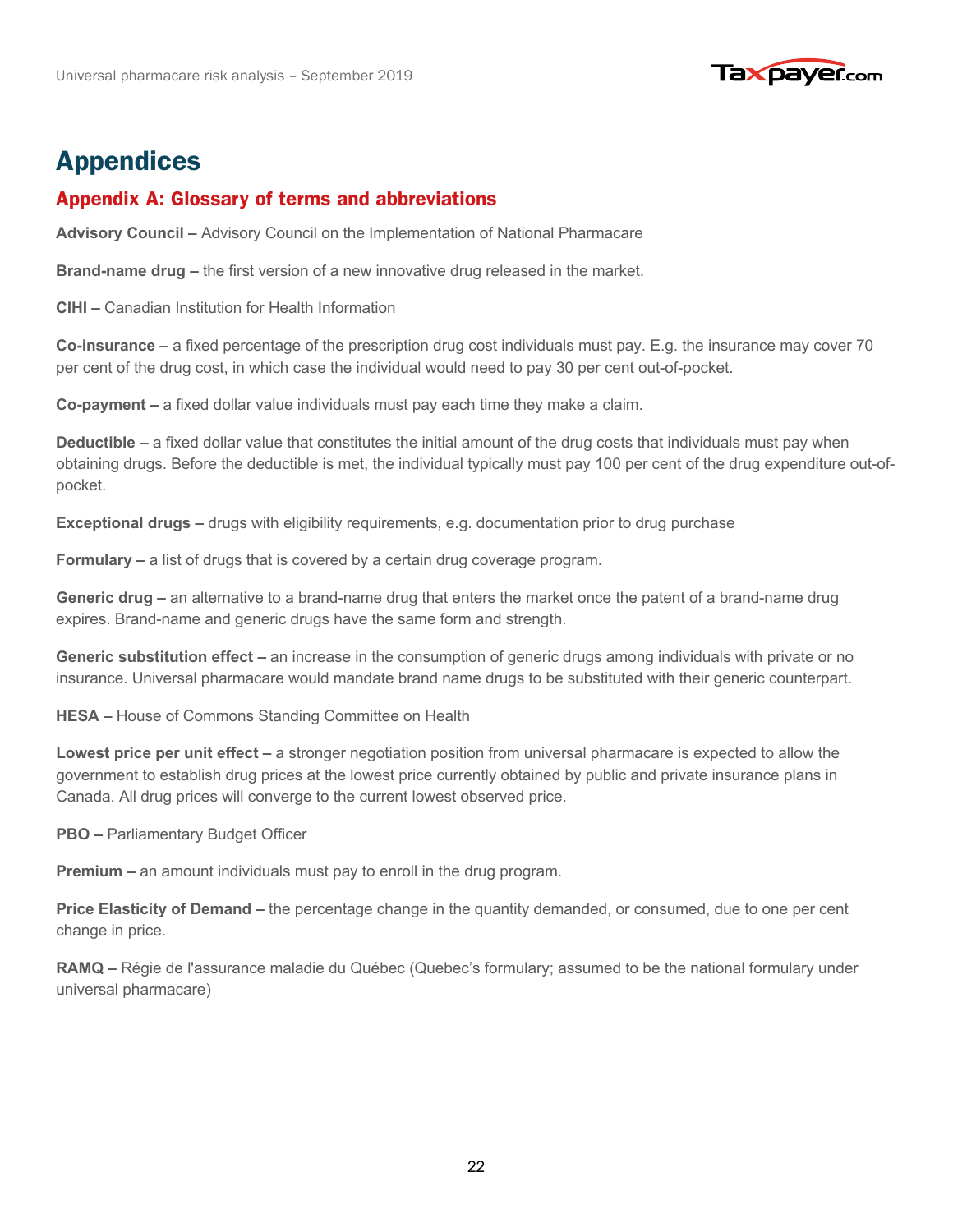

## **Appendices**

## Appendix A: Glossary of terms and abbreviations Appendix A: Glossary of terms and abbreviations

**Advisory Council –** Advisory Council on the Implementation of National Pharmacare

**Brand-name drug –** the first version of a new innovative drug released in the market.

**CIHI –** Canadian Institution for Health Information

**Co-insurance –** a fixed percentage of the prescription drug cost individuals must pay. E.g. the insurance may cover 70 per cent of the drug cost, in which case the individual would need to pay 30 per cent out-of-pocket.

**Co-payment –** a fixed dollar value individuals must pay each time they make a claim.

**Deductible –** a fixed dollar value that constitutes the initial amount of the drug costs that individuals must pay when obtaining drugs. Before the deductible is met, the individual typically must pay 100 per cent of the drug expenditure out-ofpocket.

**Exceptional drugs –** drugs with eligibility requirements, e.g. documentation prior to drug purchase

**Formulary –** a list of drugs that is covered by a certain drug coverage program.

**Generic drug –** an alternative to a brand-name drug that enters the market once the patent of a brand-name drug expires. Brand-name and generic drugs have the same form and strength.

**Generic substitution effect –** an increase in the consumption of generic drugs among individuals with private or no insurance. Universal pharmacare would mandate brand name drugs to be substituted with their generic counterpart.

**HESA –** House of Commons Standing Committee on Health

**Lowest price per unit effect –** a stronger negotiation position from universal pharmacare is expected to allow the government to establish drug prices at the lowest price currently obtained by public and private insurance plans in Canada. All drug prices will converge to the current lowest observed price.

**PBO –** Parliamentary Budget Officer

**Premium –** an amount individuals must pay to enroll in the drug program.

**Price Elasticity of Demand –** the percentage change in the quantity demanded, or consumed, due to one per cent change in price.

**RAMQ –** Régie de l'assurance maladie du Québec (Quebec's formulary; assumed to be the national formulary under universal pharmacare)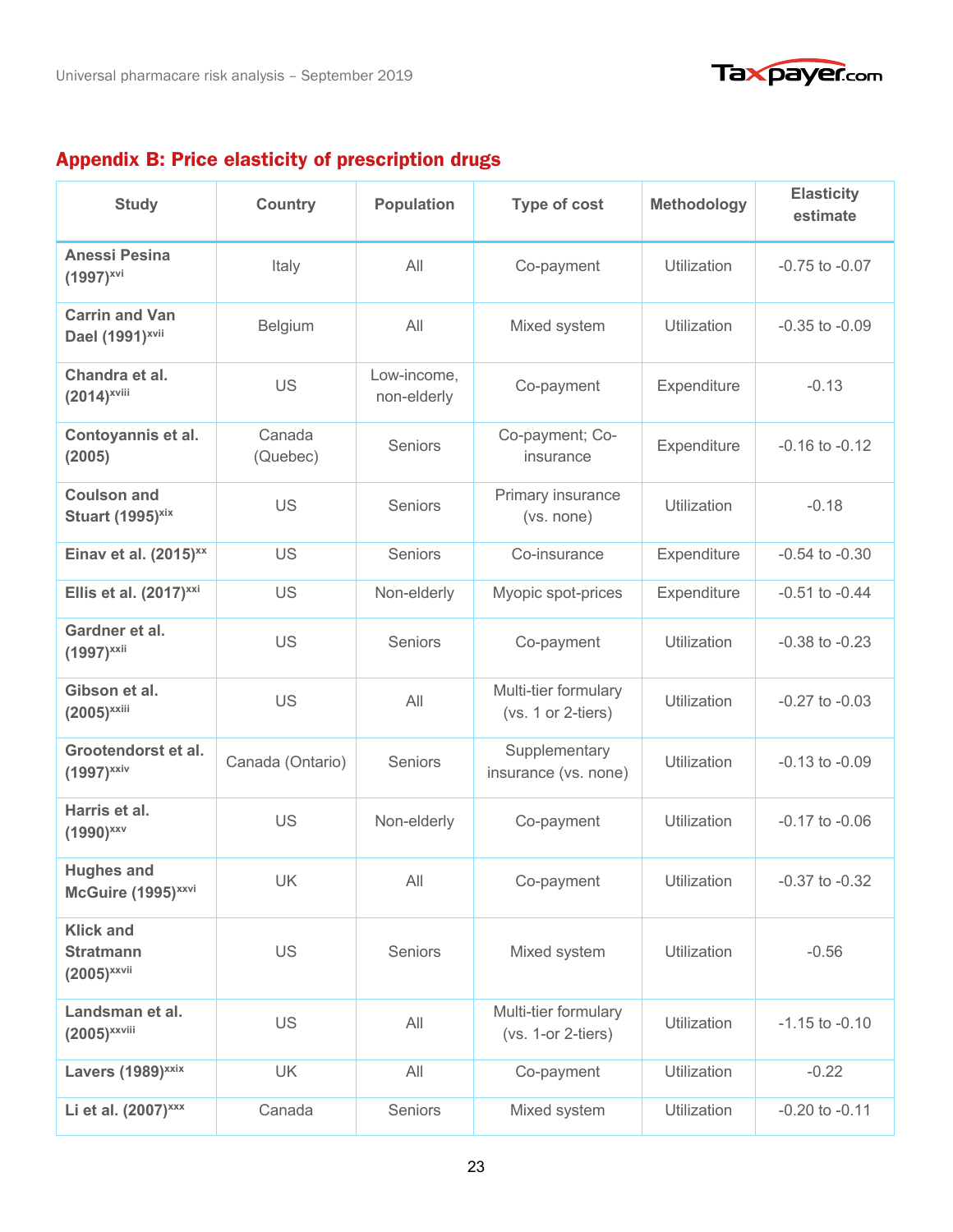



## Appendix B: Price elasticity of prescription drugs Appendix B: Price elasticity of prescription drugs

| <b>Study</b>                                             | <b>Country</b>     | <b>Population</b>          | <b>Type of cost</b>                        | <b>Methodology</b> | <b>Elasticity</b><br>estimate |
|----------------------------------------------------------|--------------------|----------------------------|--------------------------------------------|--------------------|-------------------------------|
| <b>Anessi Pesina</b><br>$(1997)^{xvi}$                   | Italy              | All                        | Co-payment                                 | Utilization        | $-0.75$ to $-0.07$            |
| <b>Carrin and Van</b><br>Dael (1991) <sup>xvii</sup>     | Belgium            | All                        | Mixed system                               | Utilization        | $-0.35$ to $-0.09$            |
| Chandra et al.<br>$(2014)^{x}$ viii                      | US                 | Low-income,<br>non-elderly | Co-payment                                 | Expenditure        | $-0.13$                       |
| Contoyannis et al.<br>(2005)                             | Canada<br>(Quebec) | Seniors                    | Co-payment; Co-<br>insurance               | Expenditure        | $-0.16$ to $-0.12$            |
| <b>Coulson and</b><br>Stuart (1995) <sup>xix</sup>       | <b>US</b>          | Seniors                    | Primary insurance<br>(vs. none)            | Utilization        | $-0.18$                       |
| Einav et al. $(2015)^{xx}$                               | US                 | <b>Seniors</b>             | Co-insurance                               | Expenditure        | $-0.54$ to $-0.30$            |
| Ellis et al. (2017) <sup>xxi</sup>                       | US                 | Non-elderly                | Myopic spot-prices                         | Expenditure        | $-0.51$ to $-0.44$            |
| Gardner et al.<br>$(1997)^{xxii}$                        | US                 | Seniors                    | Co-payment                                 | Utilization        | $-0.38$ to $-0.23$            |
| Gibson et al.<br>$(2005)^{xxiii}$                        | US                 | All                        | Multi-tier formulary<br>(vs. 1 or 2-tiers) | Utilization        | $-0.27$ to $-0.03$            |
| Grootendorst et al.<br>$(1997)^{xxiv}$                   | Canada (Ontario)   | Seniors                    | Supplementary<br>insurance (vs. none)      | Utilization        | $-0.13$ to $-0.09$            |
| Harris et al.<br>$(1990)^{xxx}$                          | US                 | Non-elderly                | Co-payment                                 | Utilization        | $-0.17$ to $-0.06$            |
| <b>Hughes and</b><br>McGuire (1995) <sup>xxvi</sup>      | UK                 | All                        | Co-payment                                 | Utilization        | -0.37 to -0.32                |
| <b>Klick and</b><br><b>Stratmann</b><br>$(2005)^{xxvii}$ | US                 | Seniors                    | Mixed system                               | Utilization        | $-0.56$                       |
| Landsman et al.<br>$(2005)^{\text{xxviii}}$              | <b>US</b>          | All                        | Multi-tier formulary<br>(vs. 1-or 2-tiers) | Utilization        | $-1.15$ to $-0.10$            |
| Lavers (1989) <sup>xxix</sup>                            | <b>UK</b>          | All                        | Co-payment                                 | <b>Utilization</b> | $-0.22$                       |
| Li et al. (2007) <sup>xxx</sup>                          | Canada             | Seniors                    | Mixed system                               | Utilization        | $-0.20$ to $-0.11$            |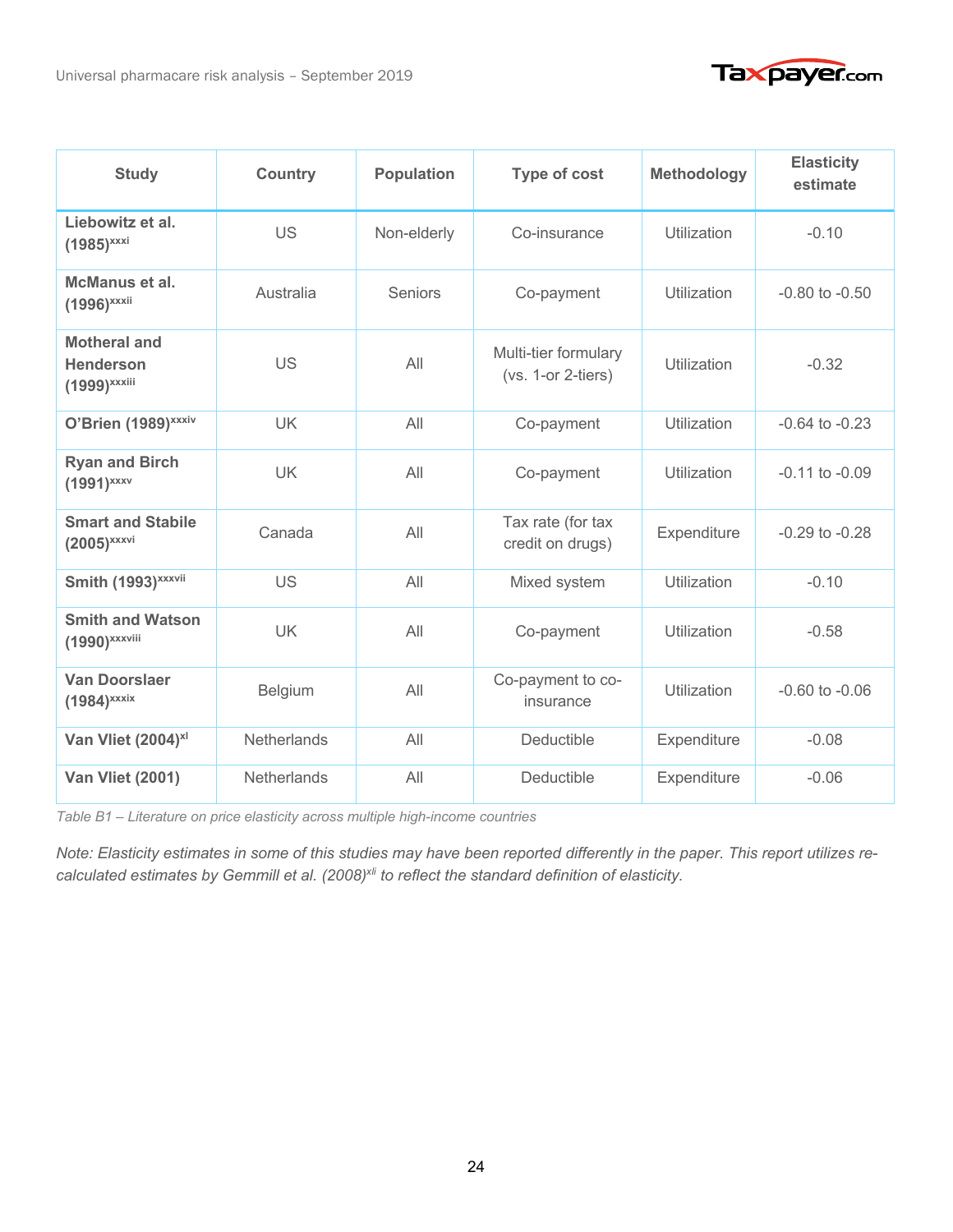

| <b>Study</b>                                                        | <b>Country</b> | <b>Population</b> | <b>Type of cost</b>                          | <b>Methodology</b> | <b>Elasticity</b><br>estimate |
|---------------------------------------------------------------------|----------------|-------------------|----------------------------------------------|--------------------|-------------------------------|
| Liebowitz et al.<br>$(1985)^{xxxi}$                                 | US             | Non-elderly       | Co-insurance                                 | Utilization        | $-0.10$                       |
| McManus et al.<br>$(1996)^{xxxii}$                                  | Australia      | Seniors           | Co-payment                                   | Utilization        | $-0.80$ to $-0.50$            |
| <b>Motheral and</b><br><b>Henderson</b><br>$(1999)^{\text{xxxiii}}$ | US             | All               | Multi-tier formulary<br>$(vs. 1-or 2-tiers)$ | Utilization        | $-0.32$                       |
| O'Brien (1989) <sup>xxxiv</sup>                                     | <b>UK</b>      | All               | Co-payment                                   | Utilization        | $-0.64$ to $-0.23$            |
| <b>Ryan and Birch</b><br>$(1991)^{XXXV}$                            | <b>UK</b>      | All               | Co-payment                                   | Utilization        | $-0.11$ to $-0.09$            |
| <b>Smart and Stabile</b><br>$(2005)^{xxxxi}$                        | Canada         | All               | Tax rate (for tax<br>credit on drugs)        | Expenditure        | $-0.29$ to $-0.28$            |
| Smith (1993) <sup>xxxvii</sup>                                      | US             | All               | Mixed system                                 | Utilization        | $-0.10$                       |
| <b>Smith and Watson</b><br>(1990) <sup>xxxviii</sup>                | <b>UK</b>      | All               | Co-payment                                   | <b>Utilization</b> | $-0.58$                       |
| <b>Van Doorslaer</b><br>$(1984)^{xxxix}$                            | Belgium        | All               | Co-payment to co-<br>insurance               | <b>Utilization</b> | $-0.60$ to $-0.06$            |
| Van Vliet (2004) <sup>xl</sup>                                      | Netherlands    | All               | Deductible                                   | Expenditure        | $-0.08$                       |
| <b>Van Vliet (2001)</b>                                             | Netherlands    | All               | Deductible                                   | Expenditure        | $-0.06$                       |

*Table B1 – Literature on price elasticity across multiple high-income countries*

*Note: Elasticity estimates in some of this studies may have been reported differently in the paper. This report utilizes recalculated estimates by Gemmill et al. (2008)<sup>x/i</sup> to reflect the standard definition of elasticity.*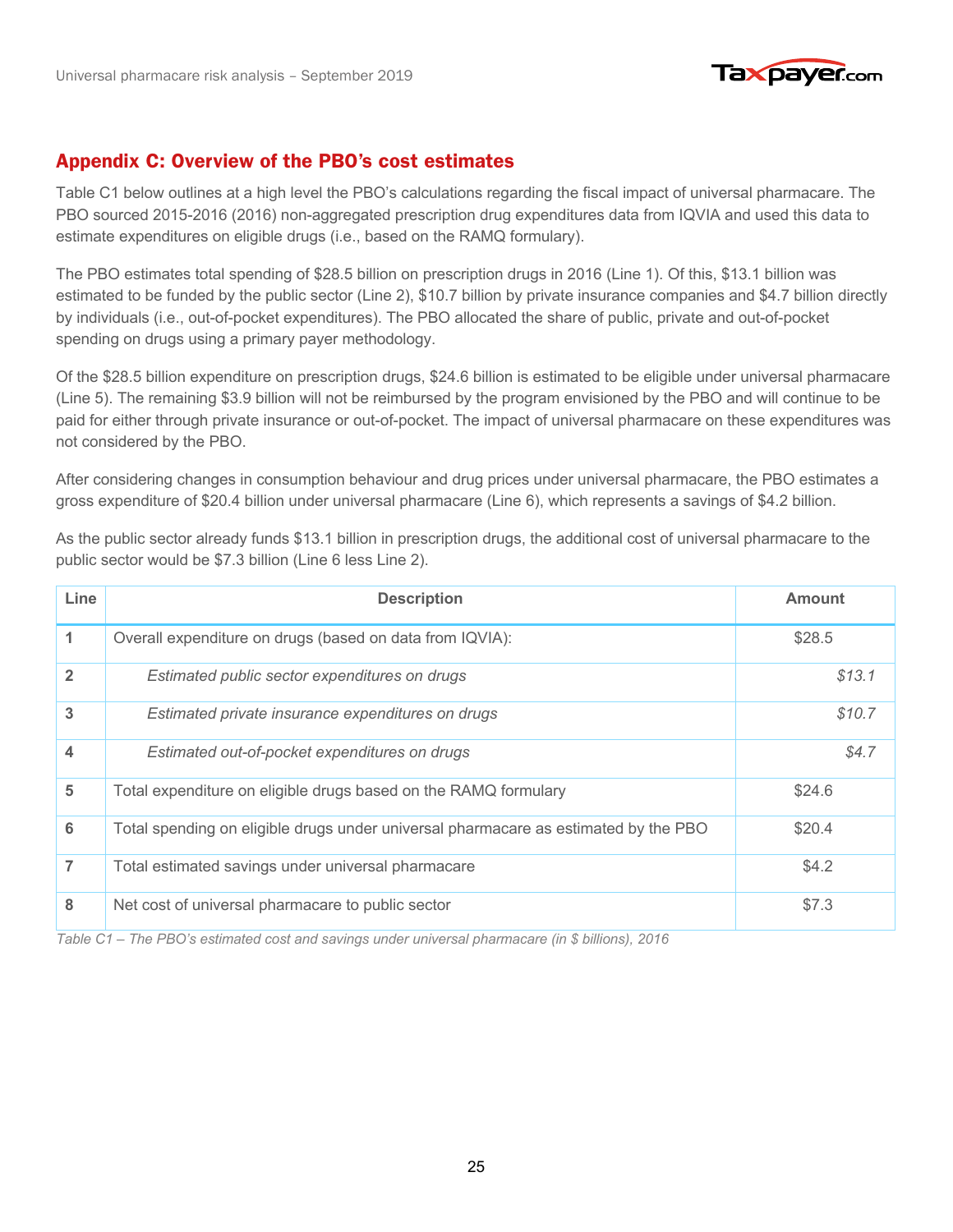

#### Appendix C: Overview of the PBO's cost estimates Appendix C: Overview of the PBO's cost estimates

Table C1 below outlines at a high level the PBO's calculations regarding the fiscal impact of universal pharmacare. The PBO sourced 2015-2016 (2016) non-aggregated prescription drug expenditures data from IQVIA and used this data to estimate expenditures on eligible drugs (i.e., based on the RAMQ formulary).

The PBO estimates total spending of \$28.5 billion on prescription drugs in 2016 (Line 1). Of this, \$13.1 billion was estimated to be funded by the public sector (Line 2), \$10.7 billion by private insurance companies and \$4.7 billion directly by individuals (i.e., out-of-pocket expenditures). The PBO allocated the share of public, private and out-of-pocket spending on drugs using a primary payer methodology.

Of the \$28.5 billion expenditure on prescription drugs, \$24.6 billion is estimated to be eligible under universal pharmacare (Line 5). The remaining \$3.9 billion will not be reimbursed by the program envisioned by the PBO and will continue to be paid for either through private insurance or out-of-pocket. The impact of universal pharmacare on these expenditures was not considered by the PBO.

After considering changes in consumption behaviour and drug prices under universal pharmacare, the PBO estimates a gross expenditure of \$20.4 billion under universal pharmacare (Line 6), which represents a savings of \$4.2 billion.

As the public sector already funds \$13.1 billion in prescription drugs, the additional cost of universal pharmacare to the public sector would be \$7.3 billion (Line 6 less Line 2).

| Line           | <b>Description</b>                                                                  | <b>Amount</b> |
|----------------|-------------------------------------------------------------------------------------|---------------|
| 1              | Overall expenditure on drugs (based on data from IQVIA):                            | \$28.5        |
| $\overline{2}$ | Estimated public sector expenditures on drugs                                       | \$13.1        |
| 3              | Estimated private insurance expenditures on drugs                                   | \$10.7        |
| 4              | Estimated out-of-pocket expenditures on drugs                                       | \$4.7         |
| 5              | Total expenditure on eligible drugs based on the RAMQ formulary                     | \$24.6        |
| 6              | Total spending on eligible drugs under universal pharmacare as estimated by the PBO | \$20.4        |
| 7              | Total estimated savings under universal pharmacare                                  | \$4.2         |
| 8              | Net cost of universal pharmacare to public sector                                   | \$7.3         |

*Table C1 – The PBO's estimated cost and savings under universal pharmacare (in \$ billions), 2016*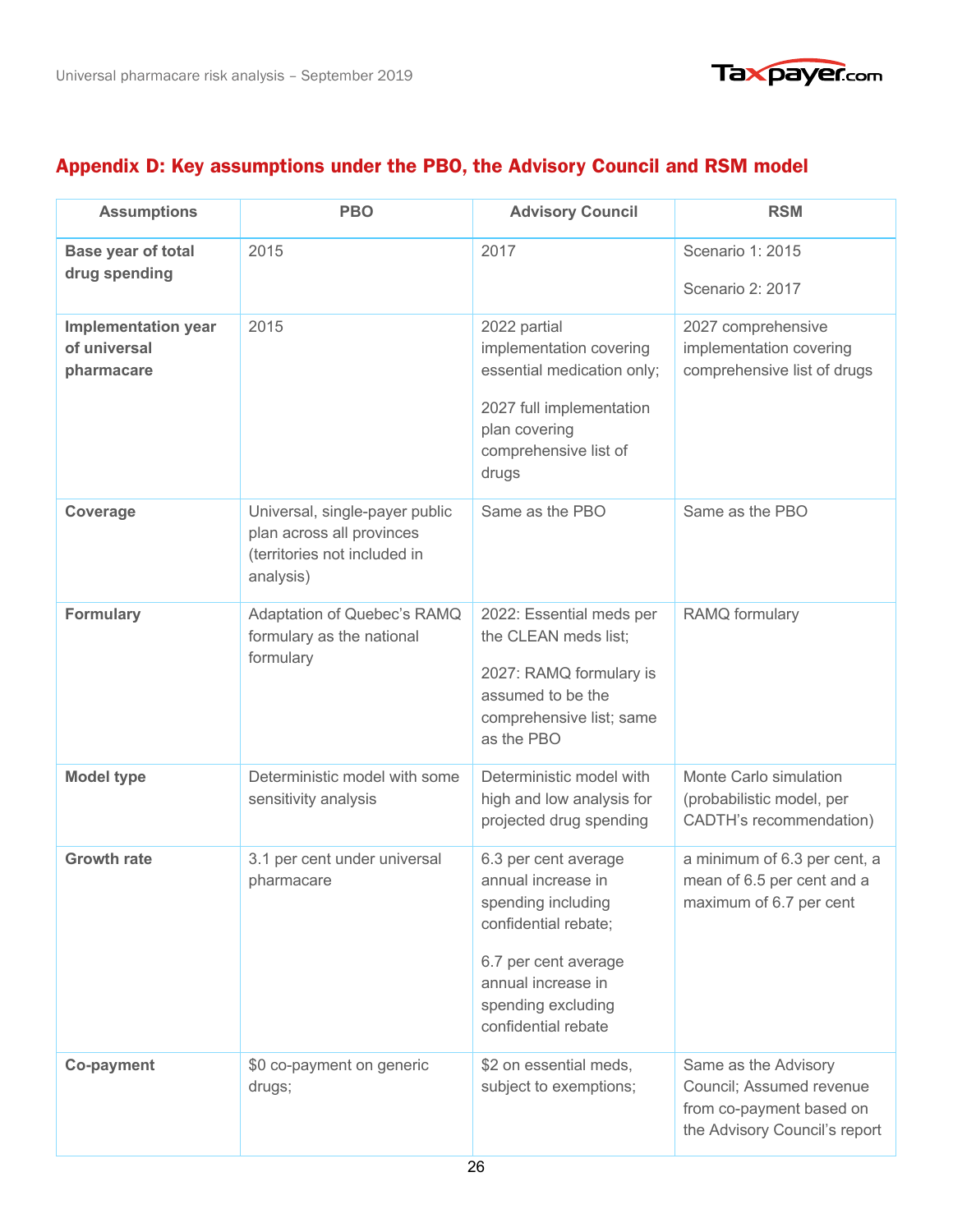

## Appendix D: Key assumptions under the PBO, the Advisory Council and RSM model Appendix D: Key assumptions under the PBO, the Advisory Council and RSM model

| <b>Assumptions</b>                                       | <b>PBO</b>                                                                                               | <b>Advisory Council</b>                                                                                                                                                             | <b>RSM</b>                                                                                                    |
|----------------------------------------------------------|----------------------------------------------------------------------------------------------------------|-------------------------------------------------------------------------------------------------------------------------------------------------------------------------------------|---------------------------------------------------------------------------------------------------------------|
| <b>Base year of total</b><br>drug spending               | 2015                                                                                                     | 2017                                                                                                                                                                                | Scenario 1: 2015<br>Scenario 2: 2017                                                                          |
| <b>Implementation year</b><br>of universal<br>pharmacare | 2015                                                                                                     | 2022 partial<br>implementation covering<br>essential medication only;<br>2027 full implementation<br>plan covering<br>comprehensive list of<br>drugs                                | 2027 comprehensive<br>implementation covering<br>comprehensive list of drugs                                  |
| Coverage                                                 | Universal, single-payer public<br>plan across all provinces<br>(territories not included in<br>analysis) | Same as the PBO                                                                                                                                                                     | Same as the PBO                                                                                               |
| <b>Formulary</b>                                         | Adaptation of Quebec's RAMQ<br>formulary as the national<br>formulary                                    | 2022: Essential meds per<br>the CLEAN meds list;<br>2027: RAMQ formulary is<br>assumed to be the<br>comprehensive list; same<br>as the PBO                                          | RAMQ formulary                                                                                                |
| <b>Model type</b>                                        | Deterministic model with some<br>sensitivity analysis                                                    | Deterministic model with<br>high and low analysis for<br>projected drug spending                                                                                                    | Monte Carlo simulation<br>(probabilistic model, per<br>CADTH's recommendation)                                |
| <b>Growth rate</b>                                       | 3.1 per cent under universal<br>pharmacare                                                               | 6.3 per cent average<br>annual increase in<br>spending including<br>confidential rebate;<br>6.7 per cent average<br>annual increase in<br>spending excluding<br>confidential rebate | a minimum of 6.3 per cent, a<br>mean of 6.5 per cent and a<br>maximum of 6.7 per cent                         |
| <b>Co-payment</b>                                        | \$0 co-payment on generic<br>drugs;                                                                      | \$2 on essential meds,<br>subject to exemptions;                                                                                                                                    | Same as the Advisory<br>Council; Assumed revenue<br>from co-payment based on<br>the Advisory Council's report |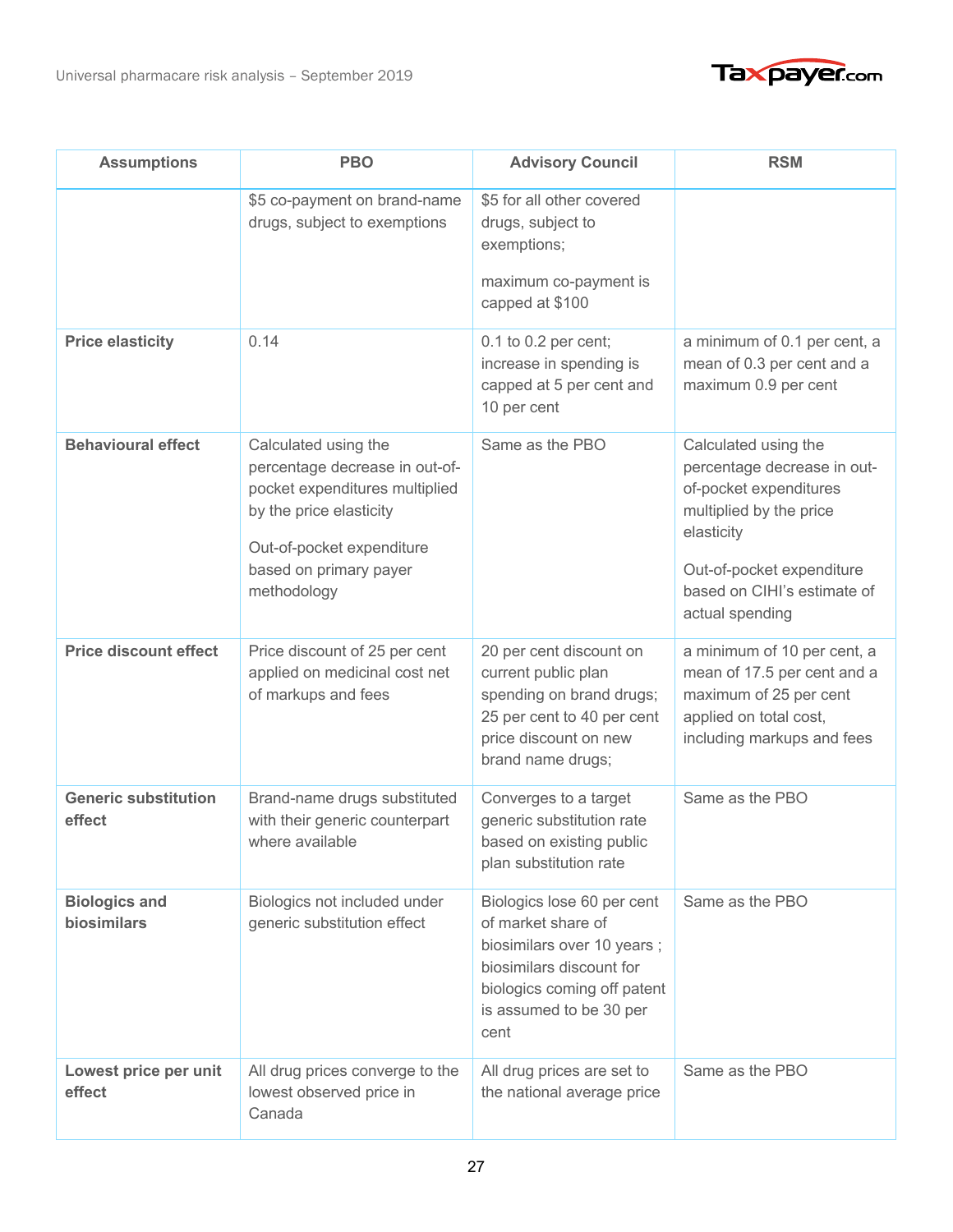



| <b>Assumptions</b>                    | <b>PBO</b>                                                                                                                                                                                | <b>Advisory Council</b>                                                                                                                                                      | <b>RSM</b>                                                                                                                                                                                            |
|---------------------------------------|-------------------------------------------------------------------------------------------------------------------------------------------------------------------------------------------|------------------------------------------------------------------------------------------------------------------------------------------------------------------------------|-------------------------------------------------------------------------------------------------------------------------------------------------------------------------------------------------------|
|                                       | \$5 co-payment on brand-name<br>drugs, subject to exemptions                                                                                                                              | \$5 for all other covered<br>drugs, subject to<br>exemptions;<br>maximum co-payment is<br>capped at \$100                                                                    |                                                                                                                                                                                                       |
| <b>Price elasticity</b>               | 0.14                                                                                                                                                                                      | 0.1 to 0.2 per cent;<br>increase in spending is<br>capped at 5 per cent and<br>10 per cent                                                                                   | a minimum of 0.1 per cent, a<br>mean of 0.3 per cent and a<br>maximum 0.9 per cent                                                                                                                    |
| <b>Behavioural effect</b>             | Calculated using the<br>percentage decrease in out-of-<br>pocket expenditures multiplied<br>by the price elasticity<br>Out-of-pocket expenditure<br>based on primary payer<br>methodology | Same as the PBO                                                                                                                                                              | Calculated using the<br>percentage decrease in out-<br>of-pocket expenditures<br>multiplied by the price<br>elasticity<br>Out-of-pocket expenditure<br>based on CIHI's estimate of<br>actual spending |
| <b>Price discount effect</b>          | Price discount of 25 per cent<br>applied on medicinal cost net<br>of markups and fees                                                                                                     | 20 per cent discount on<br>current public plan<br>spending on brand drugs;<br>25 per cent to 40 per cent<br>price discount on new<br>brand name drugs;                       | a minimum of 10 per cent, a<br>mean of 17.5 per cent and a<br>maximum of 25 per cent<br>applied on total cost,<br>including markups and fees                                                          |
| <b>Generic substitution</b><br>effect | Brand-name drugs substituted<br>with their generic counterpart<br>where available                                                                                                         | Converges to a target<br>generic substitution rate<br>based on existing public<br>plan substitution rate                                                                     | Same as the PBO                                                                                                                                                                                       |
| <b>Biologics and</b><br>biosimilars   | Biologics not included under<br>generic substitution effect                                                                                                                               | Biologics lose 60 per cent<br>of market share of<br>biosimilars over 10 years;<br>biosimilars discount for<br>biologics coming off patent<br>is assumed to be 30 per<br>cent | Same as the PBO                                                                                                                                                                                       |
| Lowest price per unit<br>effect       | All drug prices converge to the<br>lowest observed price in<br>Canada                                                                                                                     | All drug prices are set to<br>the national average price                                                                                                                     | Same as the PBO                                                                                                                                                                                       |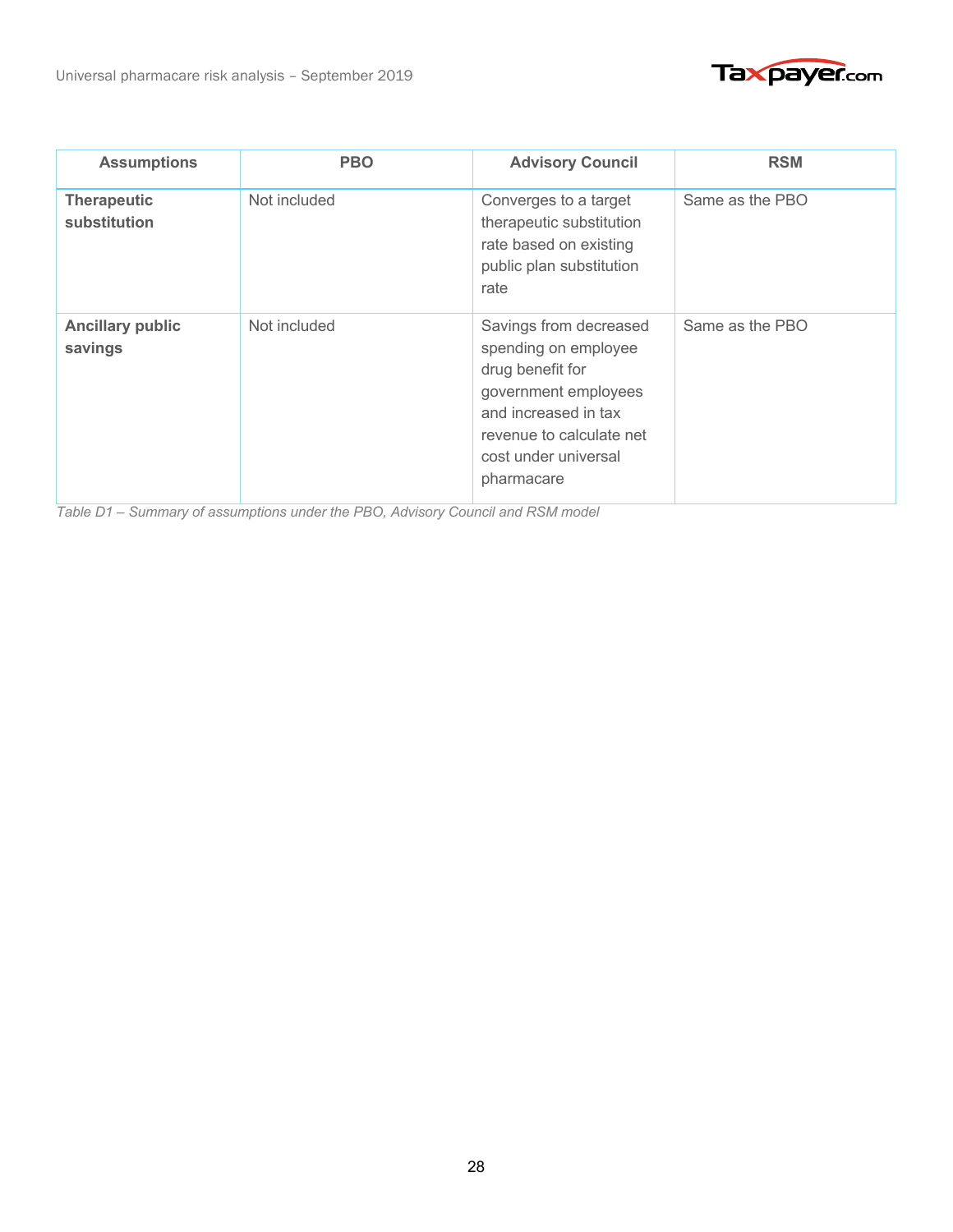



| <b>Assumptions</b>                 | <b>PBO</b>   | <b>Advisory Council</b>                                                                                                                                                              | <b>RSM</b>      |
|------------------------------------|--------------|--------------------------------------------------------------------------------------------------------------------------------------------------------------------------------------|-----------------|
| <b>Therapeutic</b><br>substitution | Not included | Converges to a target<br>therapeutic substitution<br>rate based on existing<br>public plan substitution<br>rate                                                                      | Same as the PBO |
| <b>Ancillary public</b><br>savings | Not included | Savings from decreased<br>spending on employee<br>drug benefit for<br>government employees<br>and increased in tax<br>revenue to calculate net<br>cost under universal<br>pharmacare | Same as the PBO |

*Table D1 – Summary of assumptions under the PBO, Advisory Council and RSM model*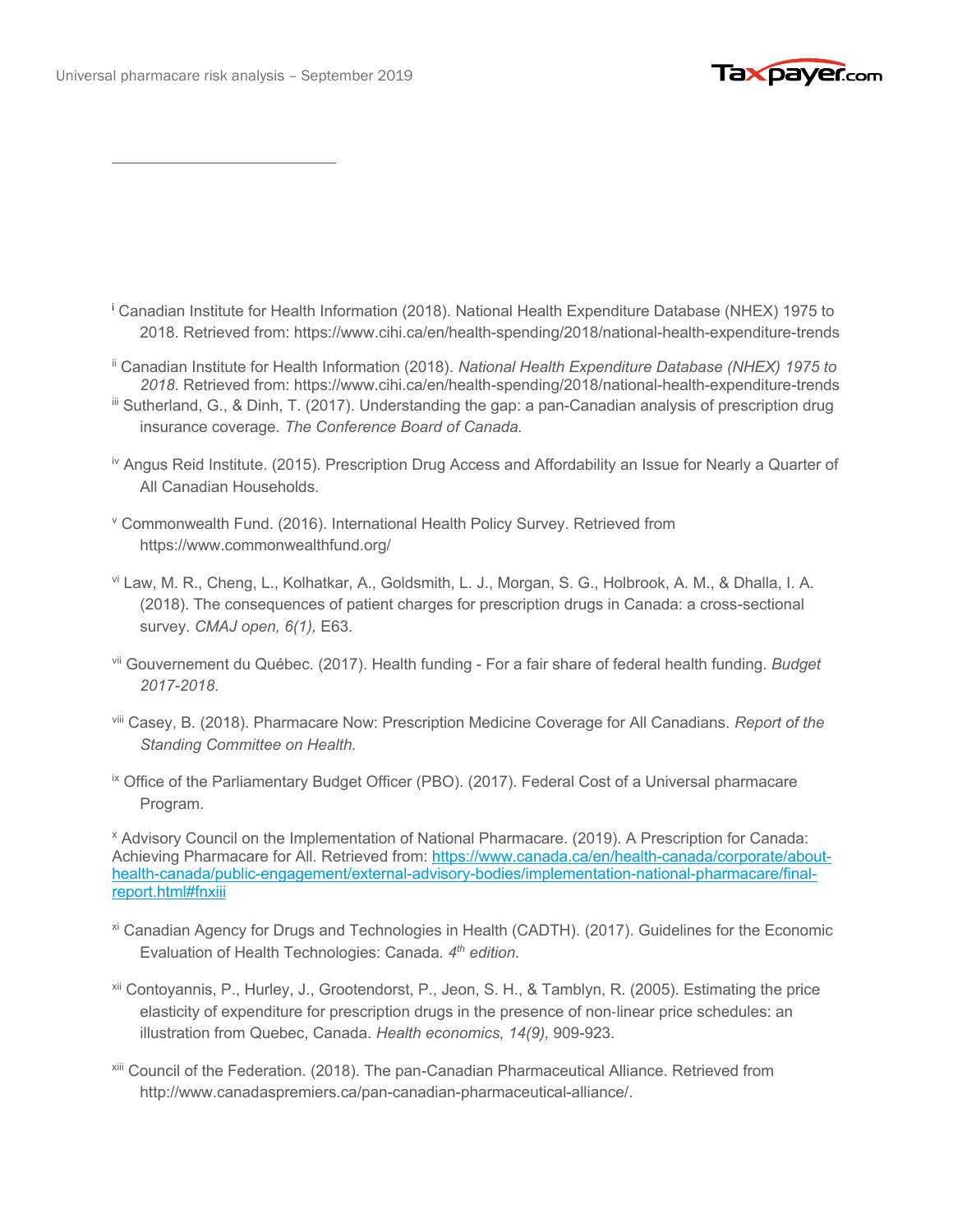

- <sup>i</sup> Canadian Institute for Health Information (2018). National Health Expenditure Database (NHEX) 1975 to 2018. Retrieved from: https://www.cihi.ca/en/health-spending/2018/national-health-expenditure-trends
- ii Canadian Institute for Health Information (2018). *National Health Expenditure Database (NHEX) 1975 to 2018*. Retrieved from: https://www.cihi.ca/en/health-spending/2018/national-health-expenditure-trends
- iii Sutherland, G., & Dinh, T. (2017). Understanding the gap: a pan-Canadian analysis of prescription drug insurance coverage. *The Conference Board of Canada.*
- iv Angus Reid Institute. (2015). Prescription Drug Access and Affordability an Issue for Nearly a Quarter of All Canadian Households.
- <sup>v</sup> Commonwealth Fund. (2016). International Health Policy Survey. Retrieved from https://www.commonwealthfund.org/
- vi Law, M. R., Cheng, L., Kolhatkar, A., Goldsmith, L. J., Morgan, S. G., Holbrook, A. M., & Dhalla, I. A. (2018). The consequences of patient charges for prescription drugs in Canada: a cross-sectional survey. *CMAJ open, 6(1),* E63.
- vii Gouvernement du Québec. (2017). Health funding For a fair share of federal health funding. *Budget 2017-2018*.
- viii Casey, B. (2018). Pharmacare Now: Prescription Medicine Coverage for All Canadians. *Report of the Standing Committee on Health.*
- <sup>ix</sup> Office of the Parliamentary Budget Officer (PBO). (2017). Federal Cost of a Universal pharmacare Program.

<sup>x</sup> Advisory Council on the Implementation of National Pharmacare. (2019). A Prescription for Canada: Achieving Pharmacare for All. Retrieved from: https://www.canada.ca/en/health-canada/corporate/abouthealth-canada/public-engagement/external-advisory-bodies/implementation-national-pharmacare/finalreport.html#fnxiii

- xi Canadian Agency for Drugs and Technologies in Health (CADTH). (2017). Guidelines for the Economic Evaluation of Health Technologies: Canada*. 4th edition*.
- xii Contoyannis, P., Hurley, J., Grootendorst, P., Jeon, S. H., & Tamblyn, R. (2005). Estimating the price elasticity of expenditure for prescription drugs in the presence of non-linear price schedules: an illustration from Quebec, Canada. *Health economics, 14(9),* 909-923.
- xiii Council of the Federation. (2018). The pan-Canadian Pharmaceutical Alliance. Retrieved from http://www.canadaspremiers.ca/pan-canadian-pharmaceutical-alliance/.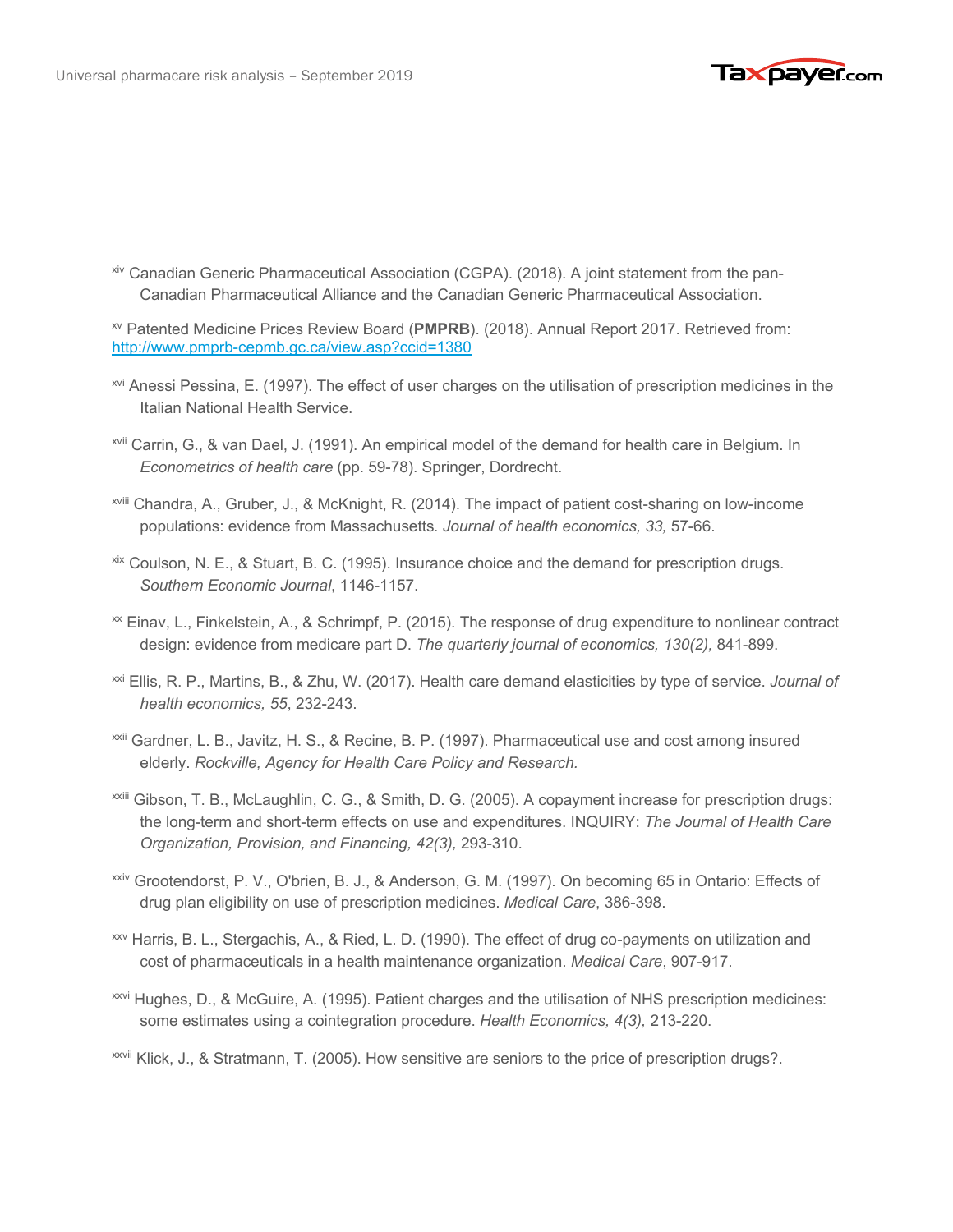

xiv Canadian Generic Pharmaceutical Association (CGPA). (2018). A joint statement from the pan-Canadian Pharmaceutical Alliance and the Canadian Generic Pharmaceutical Association.

xv Patented Medicine Prices Review Board (**PMPRB**). (2018). Annual Report 2017. Retrieved from: http://www.pmprb-cepmb.gc.ca/view.asp?ccid=1380

- xvi Anessi Pessina, E. (1997). The effect of user charges on the utilisation of prescription medicines in the Italian National Health Service.
- xvii Carrin, G., & van Dael, J. (1991). An empirical model of the demand for health care in Belgium. In *Econometrics of health care* (pp. 59-78). Springer, Dordrecht.
- xviii Chandra, A., Gruber, J., & McKnight, R. (2014). The impact of patient cost-sharing on low-income populations: evidence from Massachusetts*. Journal of health economics, 33,* 57-66.
- xix Coulson, N. E., & Stuart, B. C. (1995). Insurance choice and the demand for prescription drugs. *Southern Economic Journal*, 1146-1157.
- xx Einav, L., Finkelstein, A., & Schrimpf, P. (2015). The response of drug expenditure to nonlinear contract design: evidence from medicare part D. *The quarterly journal of economics, 130(2),* 841-899.
- xxi Ellis, R. P., Martins, B., & Zhu, W. (2017). Health care demand elasticities by type of service. *Journal of health economics, 55*, 232-243.
- xxii Gardner, L. B., Javitz, H. S., & Recine, B. P. (1997). Pharmaceutical use and cost among insured elderly. *Rockville, Agency for Health Care Policy and Research.*
- xxiii Gibson, T. B., McLaughlin, C. G., & Smith, D. G. (2005). A copayment increase for prescription drugs: the long-term and short-term effects on use and expenditures. INQUIRY: *The Journal of Health Care Organization, Provision, and Financing, 42(3),* 293-310.
- xxiv Grootendorst, P. V., O'brien, B. J., & Anderson, G. M. (1997). On becoming 65 in Ontario: Effects of drug plan eligibility on use of prescription medicines. *Medical Care*, 386-398.
- xxv Harris, B. L., Stergachis, A., & Ried, L. D. (1990). The effect of drug co-payments on utilization and cost of pharmaceuticals in a health maintenance organization. *Medical Care*, 907-917.
- xxvi Hughes, D., & McGuire, A. (1995). Patient charges and the utilisation of NHS prescription medicines: some estimates using a cointegration procedure. *Health Economics, 4(3),* 213-220.
- xxvii Klick, J., & Stratmann, T. (2005). How sensitive are seniors to the price of prescription drugs?.